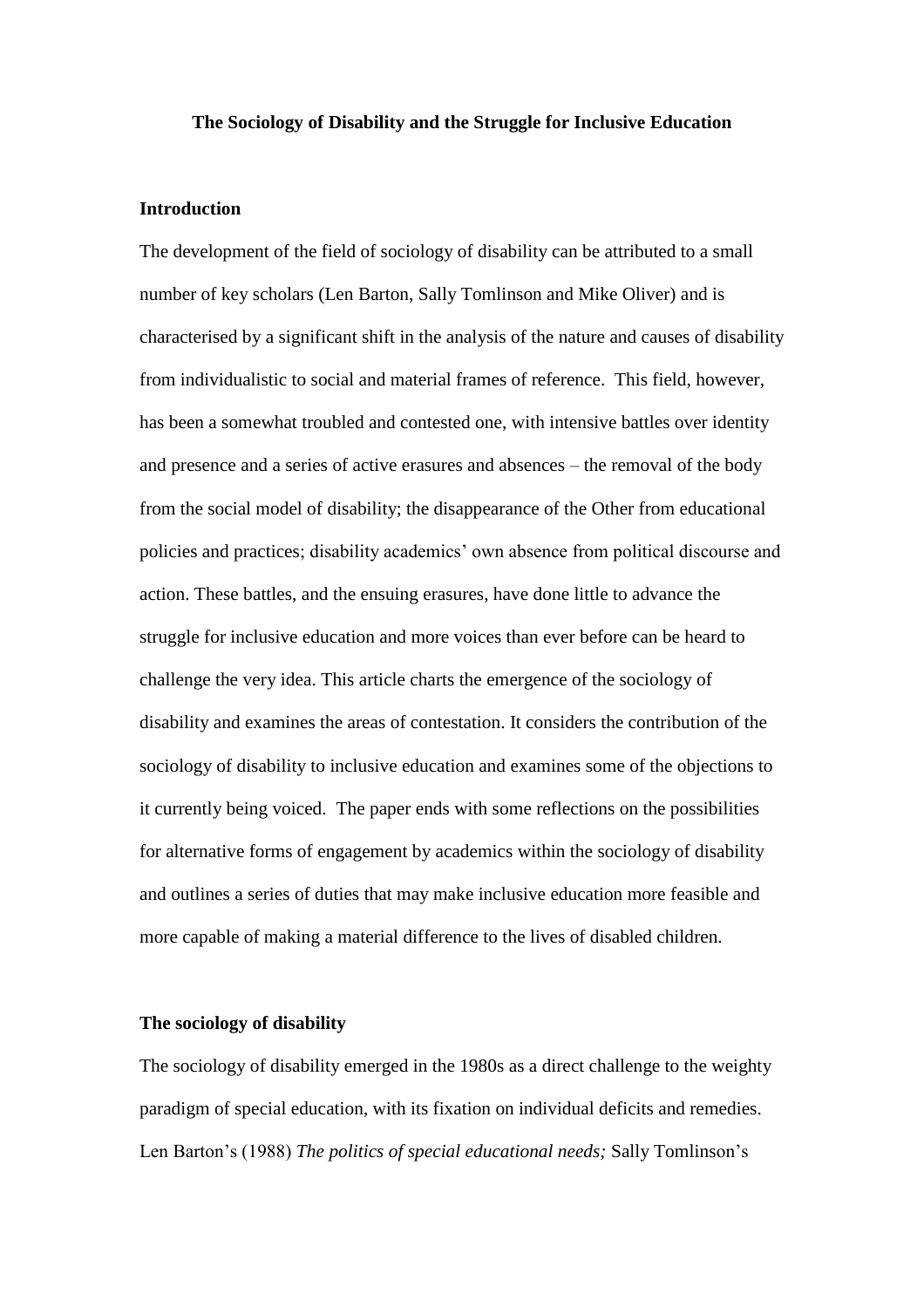### **The Sociology of Disability and the Struggle for Inclusive Education**

### **Introduction**

The development of the field of sociology of disability can be attributed to a small number of key scholars (Len Barton, Sally Tomlinson and Mike Oliver) and is characterised by a significant shift in the analysis of the nature and causes of disability from individualistic to social and material frames of reference. This field, however, has been a somewhat troubled and contested one, with intensive battles over identity and presence and a series of active erasures and absences – the removal of the body from the social model of disability; the disappearance of the Other from educational policies and practices; disability academics" own absence from political discourse and action. These battles, and the ensuing erasures, have done little to advance the struggle for inclusive education and more voices than ever before can be heard to challenge the very idea. This article charts the emergence of the sociology of disability and examines the areas of contestation. It considers the contribution of the sociology of disability to inclusive education and examines some of the objections to it currently being voiced. The paper ends with some reflections on the possibilities for alternative forms of engagement by academics within the sociology of disability and outlines a series of duties that may make inclusive education more feasible and more capable of making a material difference to the lives of disabled children.

# **The sociology of disability**

The sociology of disability emerged in the 1980s as a direct challenge to the weighty paradigm of special education, with its fixation on individual deficits and remedies. Len Barton"s (1988) *The politics of special educational needs;* Sally Tomlinson"s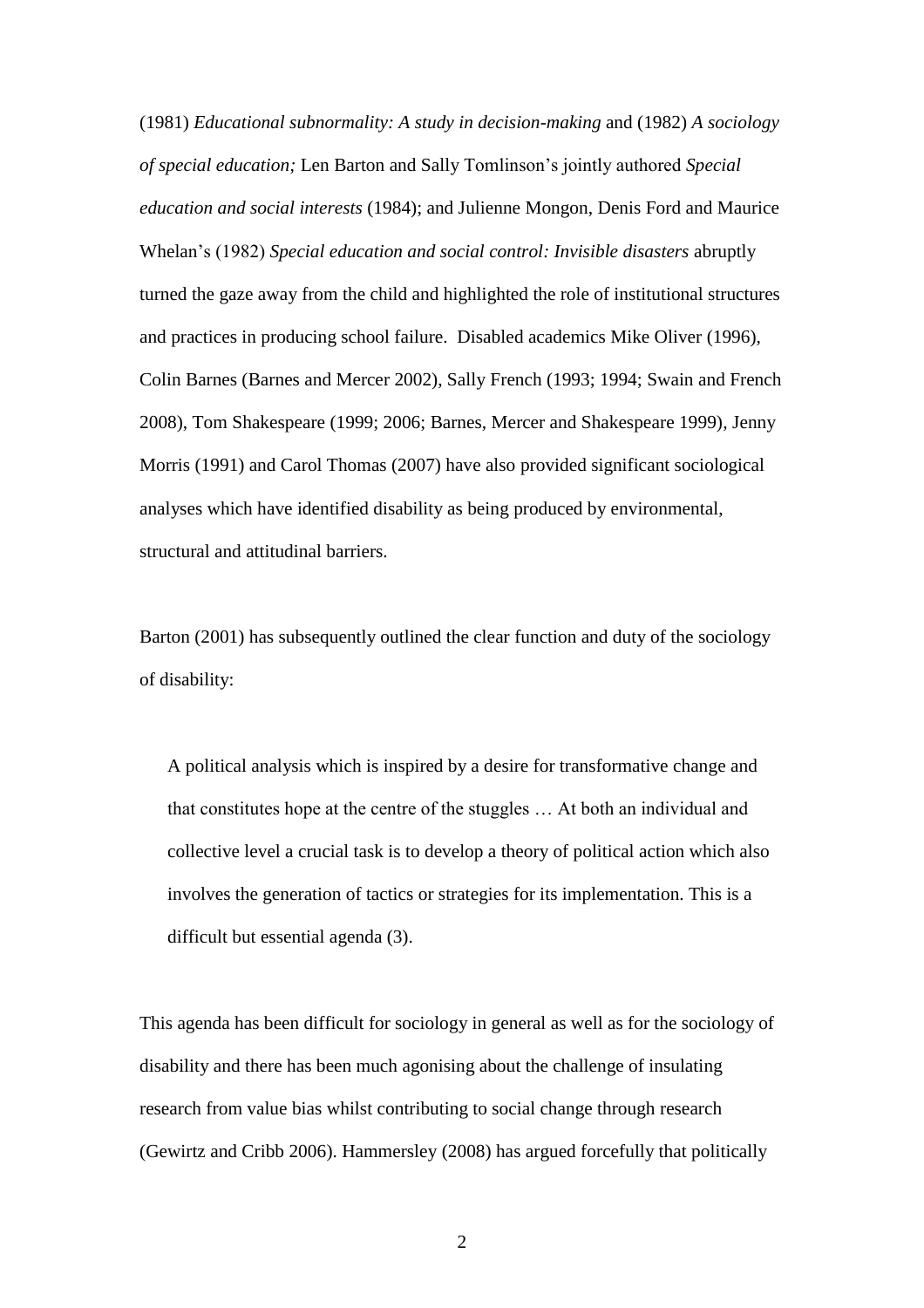(1981) *Educational subnormality: A study in decision-making* and (1982) *A sociology of special education;* Len Barton and Sally Tomlinson"s jointly authored *Special education and social interests* (1984); and Julienne Mongon, Denis Ford and Maurice Whelan"s (1982) *Special education and social control: Invisible disasters* abruptly turned the gaze away from the child and highlighted the role of institutional structures and practices in producing school failure. Disabled academics Mike Oliver (1996), Colin Barnes (Barnes and Mercer 2002), Sally French (1993; 1994; Swain and French 2008), Tom Shakespeare (1999; 2006; Barnes, Mercer and Shakespeare 1999), Jenny Morris (1991) and Carol Thomas (2007) have also provided significant sociological analyses which have identified disability as being produced by environmental, structural and attitudinal barriers.

Barton (2001) has subsequently outlined the clear function and duty of the sociology of disability:

A political analysis which is inspired by a desire for transformative change and that constitutes hope at the centre of the stuggles … At both an individual and collective level a crucial task is to develop a theory of political action which also involves the generation of tactics or strategies for its implementation. This is a difficult but essential agenda (3).

This agenda has been difficult for sociology in general as well as for the sociology of disability and there has been much agonising about the challenge of insulating research from value bias whilst contributing to social change through research (Gewirtz and Cribb 2006). Hammersley (2008) has argued forcefully that politically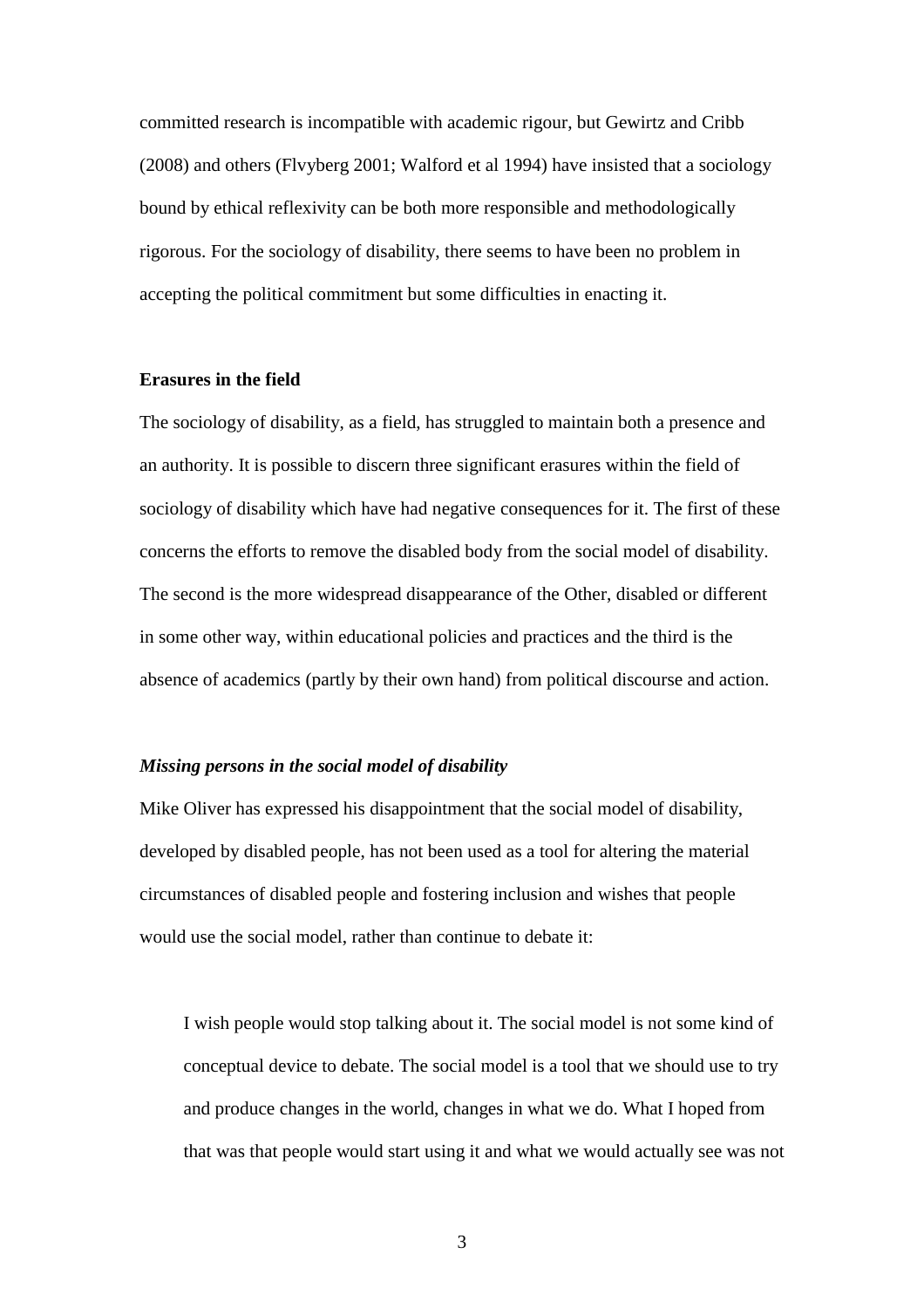committed research is incompatible with academic rigour, but Gewirtz and Cribb (2008) and others (Flvyberg 2001; Walford et al 1994) have insisted that a sociology bound by ethical reflexivity can be both more responsible and methodologically rigorous. For the sociology of disability, there seems to have been no problem in accepting the political commitment but some difficulties in enacting it.

### **Erasures in the field**

The sociology of disability, as a field, has struggled to maintain both a presence and an authority. It is possible to discern three significant erasures within the field of sociology of disability which have had negative consequences for it. The first of these concerns the efforts to remove the disabled body from the social model of disability. The second is the more widespread disappearance of the Other, disabled or different in some other way, within educational policies and practices and the third is the absence of academics (partly by their own hand) from political discourse and action.

# *Missing persons in the social model of disability*

Mike Oliver has expressed his disappointment that the social model of disability, developed by disabled people, has not been used as a tool for altering the material circumstances of disabled people and fostering inclusion and wishes that people would use the social model, rather than continue to debate it:

I wish people would stop talking about it. The social model is not some kind of conceptual device to debate. The social model is a tool that we should use to try and produce changes in the world, changes in what we do. What I hoped from that was that people would start using it and what we would actually see was not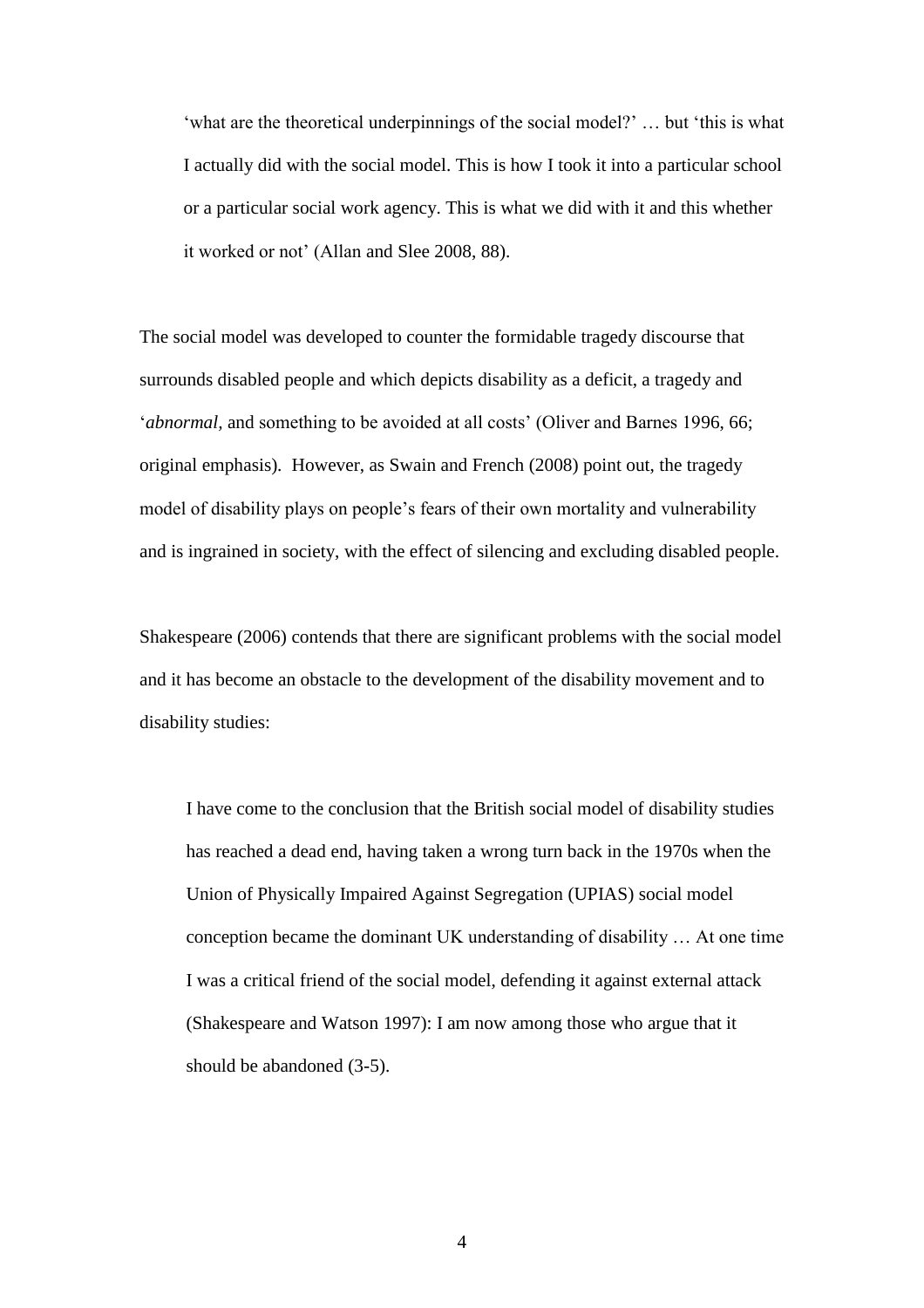"what are the theoretical underpinnings of the social model?" ... but "this is what" I actually did with the social model. This is how I took it into a particular school or a particular social work agency. This is what we did with it and this whether it worked or not' (Allan and Slee 2008, 88).

The social model was developed to counter the formidable tragedy discourse that surrounds disabled people and which depicts disability as a deficit, a tragedy and '*abnormal*, and something to be avoided at all costs' (Oliver and Barnes 1996, 66; original emphasis)*.* However, as Swain and French (2008) point out, the tragedy model of disability plays on people"s fears of their own mortality and vulnerability and is ingrained in society, with the effect of silencing and excluding disabled people.

Shakespeare (2006) contends that there are significant problems with the social model and it has become an obstacle to the development of the disability movement and to disability studies:

I have come to the conclusion that the British social model of disability studies has reached a dead end, having taken a wrong turn back in the 1970s when the Union of Physically Impaired Against Segregation (UPIAS) social model conception became the dominant UK understanding of disability … At one time I was a critical friend of the social model, defending it against external attack (Shakespeare and Watson 1997): I am now among those who argue that it should be abandoned (3-5).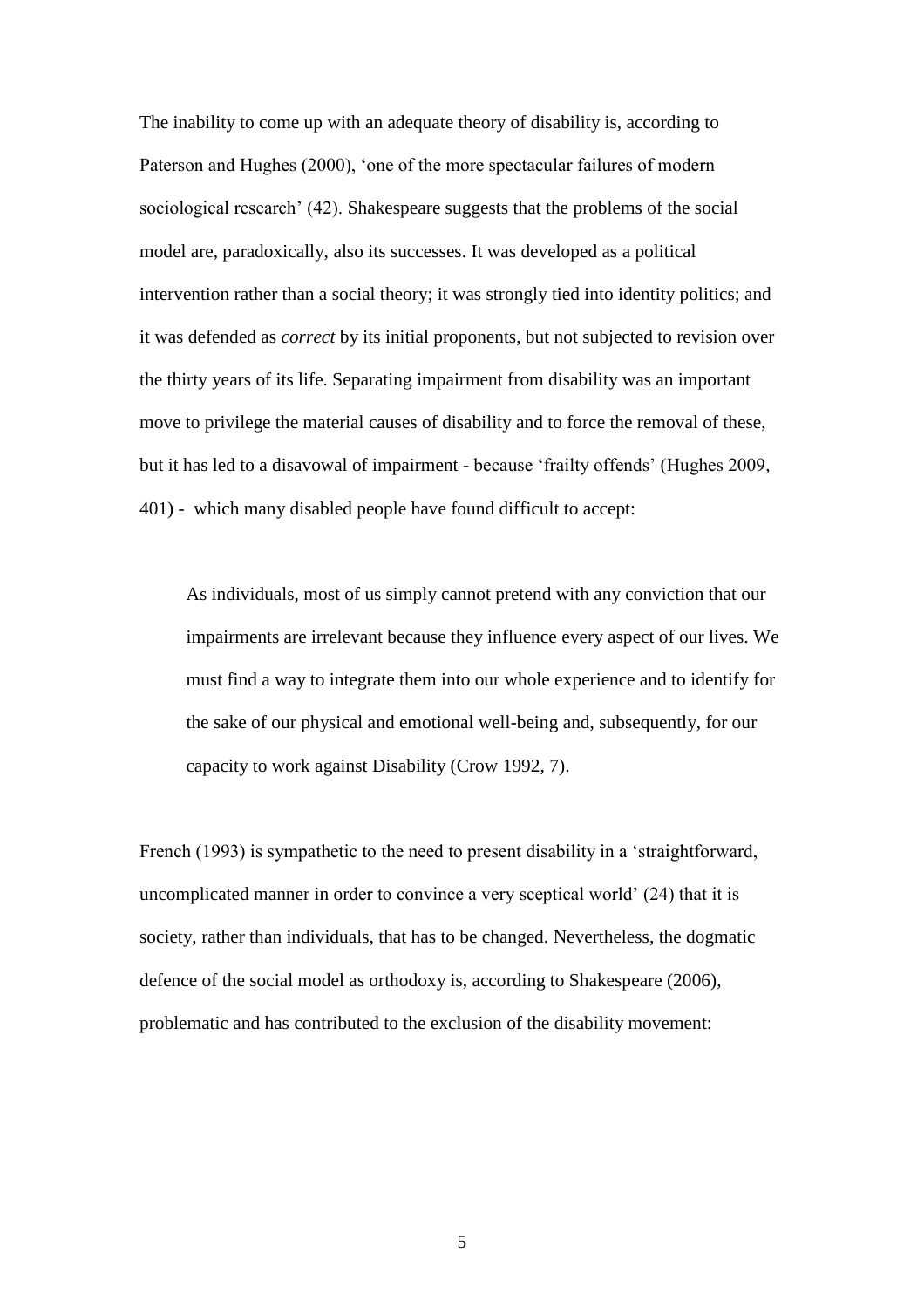The inability to come up with an adequate theory of disability is, according to Paterson and Hughes (2000), "one of the more spectacular failures of modern sociological research' (42). Shakespeare suggests that the problems of the social model are, paradoxically, also its successes. It was developed as a political intervention rather than a social theory; it was strongly tied into identity politics; and it was defended as *correct* by its initial proponents, but not subjected to revision over the thirty years of its life. Separating impairment from disability was an important move to privilege the material causes of disability and to force the removal of these, but it has led to a disavowal of impairment - because "frailty offends" (Hughes 2009, 401) - which many disabled people have found difficult to accept:

As individuals, most of us simply cannot pretend with any conviction that our impairments are irrelevant because they influence every aspect of our lives. We must find a way to integrate them into our whole experience and to identify for the sake of our physical and emotional well-being and, subsequently, for our capacity to work against Disability (Crow 1992, 7).

French (1993) is sympathetic to the need to present disability in a "straightforward, uncomplicated manner in order to convince a very sceptical world" (24) that it is society, rather than individuals, that has to be changed. Nevertheless, the dogmatic defence of the social model as orthodoxy is, according to Shakespeare (2006), problematic and has contributed to the exclusion of the disability movement: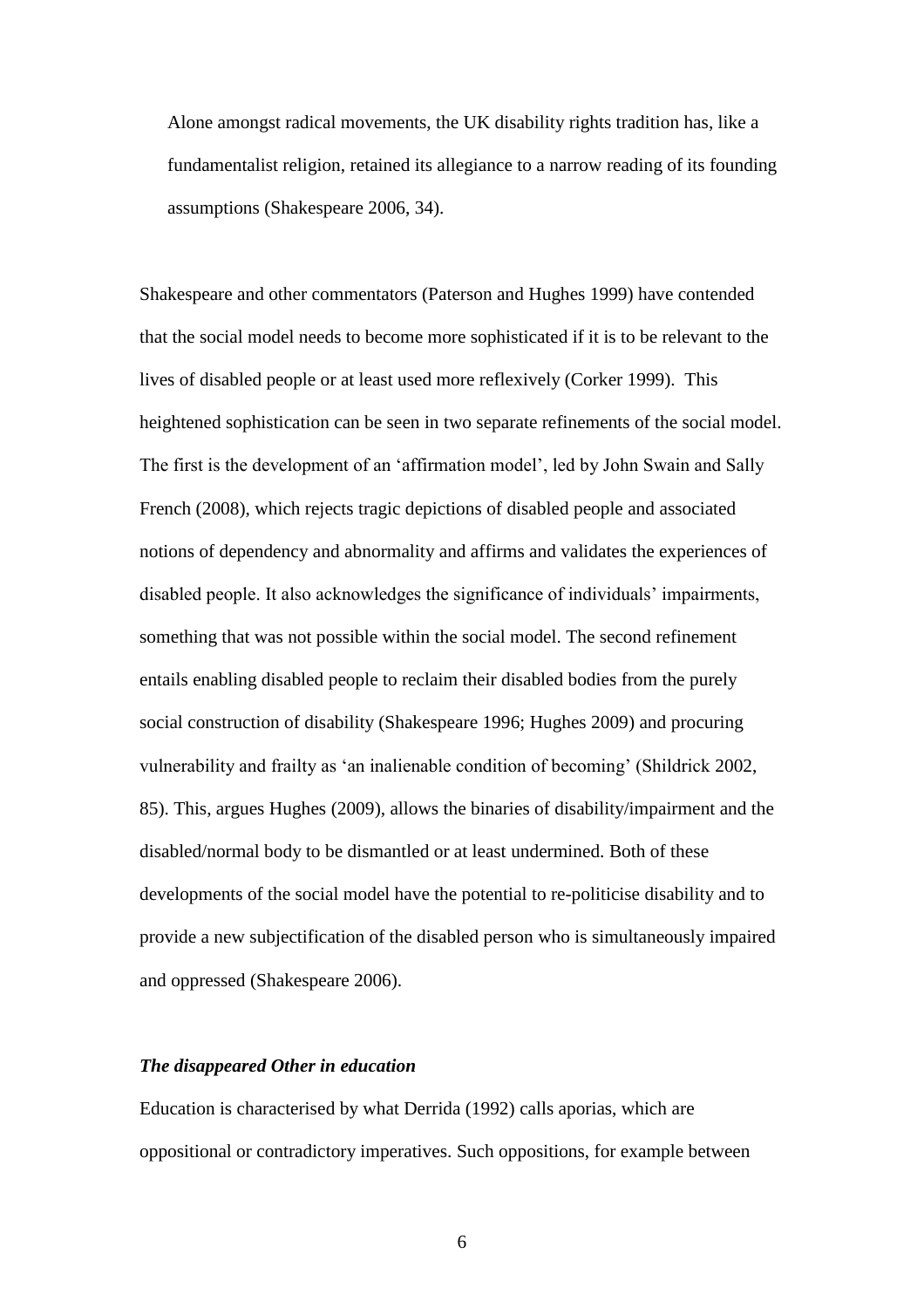Alone amongst radical movements, the UK disability rights tradition has, like a fundamentalist religion, retained its allegiance to a narrow reading of its founding assumptions (Shakespeare 2006, 34).

Shakespeare and other commentators (Paterson and Hughes 1999) have contended that the social model needs to become more sophisticated if it is to be relevant to the lives of disabled people or at least used more reflexively (Corker 1999). This heightened sophistication can be seen in two separate refinements of the social model. The first is the development of an "affirmation model", led by John Swain and Sally French (2008), which rejects tragic depictions of disabled people and associated notions of dependency and abnormality and affirms and validates the experiences of disabled people. It also acknowledges the significance of individuals" impairments, something that was not possible within the social model. The second refinement entails enabling disabled people to reclaim their disabled bodies from the purely social construction of disability (Shakespeare 1996; Hughes 2009) and procuring vulnerability and frailty as "an inalienable condition of becoming" (Shildrick 2002, 85). This, argues Hughes (2009), allows the binaries of disability/impairment and the disabled/normal body to be dismantled or at least undermined. Both of these developments of the social model have the potential to re-politicise disability and to provide a new subjectification of the disabled person who is simultaneously impaired and oppressed (Shakespeare 2006).

# *The disappeared Other in education*

Education is characterised by what Derrida (1992) calls aporias, which are oppositional or contradictory imperatives. Such oppositions, for example between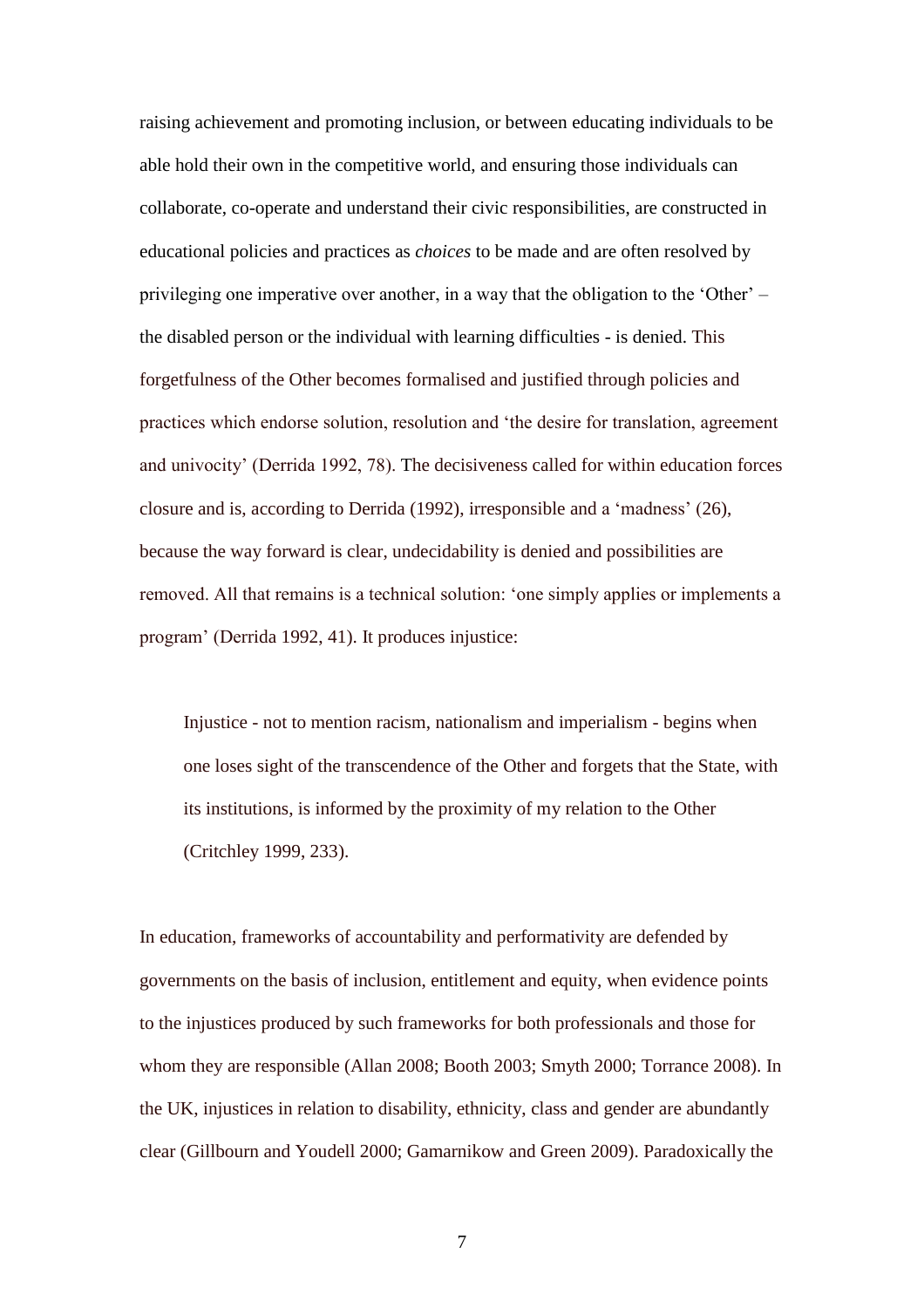raising achievement and promoting inclusion, or between educating individuals to be able hold their own in the competitive world, and ensuring those individuals can collaborate, co-operate and understand their civic responsibilities, are constructed in educational policies and practices as *choices* to be made and are often resolved by privileging one imperative over another, in a way that the obligation to the "Other" – the disabled person or the individual with learning difficulties - is denied. This forgetfulness of the Other becomes formalised and justified through policies and practices which endorse solution, resolution and "the desire for translation, agreement and univocity" (Derrida 1992, 78). The decisiveness called for within education forces closure and is, according to Derrida (1992), irresponsible and a "madness" (26), because the way forward is clear, undecidability is denied and possibilities are removed. All that remains is a technical solution: "one simply applies or implements a program" (Derrida 1992, 41). It produces injustice:

Injustice - not to mention racism, nationalism and imperialism - begins when one loses sight of the transcendence of the Other and forgets that the State, with its institutions, is informed by the proximity of my relation to the Other (Critchley 1999, 233).

In education, frameworks of accountability and performativity are defended by governments on the basis of inclusion, entitlement and equity, when evidence points to the injustices produced by such frameworks for both professionals and those for whom they are responsible (Allan 2008; Booth 2003; Smyth 2000; Torrance 2008). In the UK, injustices in relation to disability, ethnicity, class and gender are abundantly clear (Gillbourn and Youdell 2000; Gamarnikow and Green 2009). Paradoxically the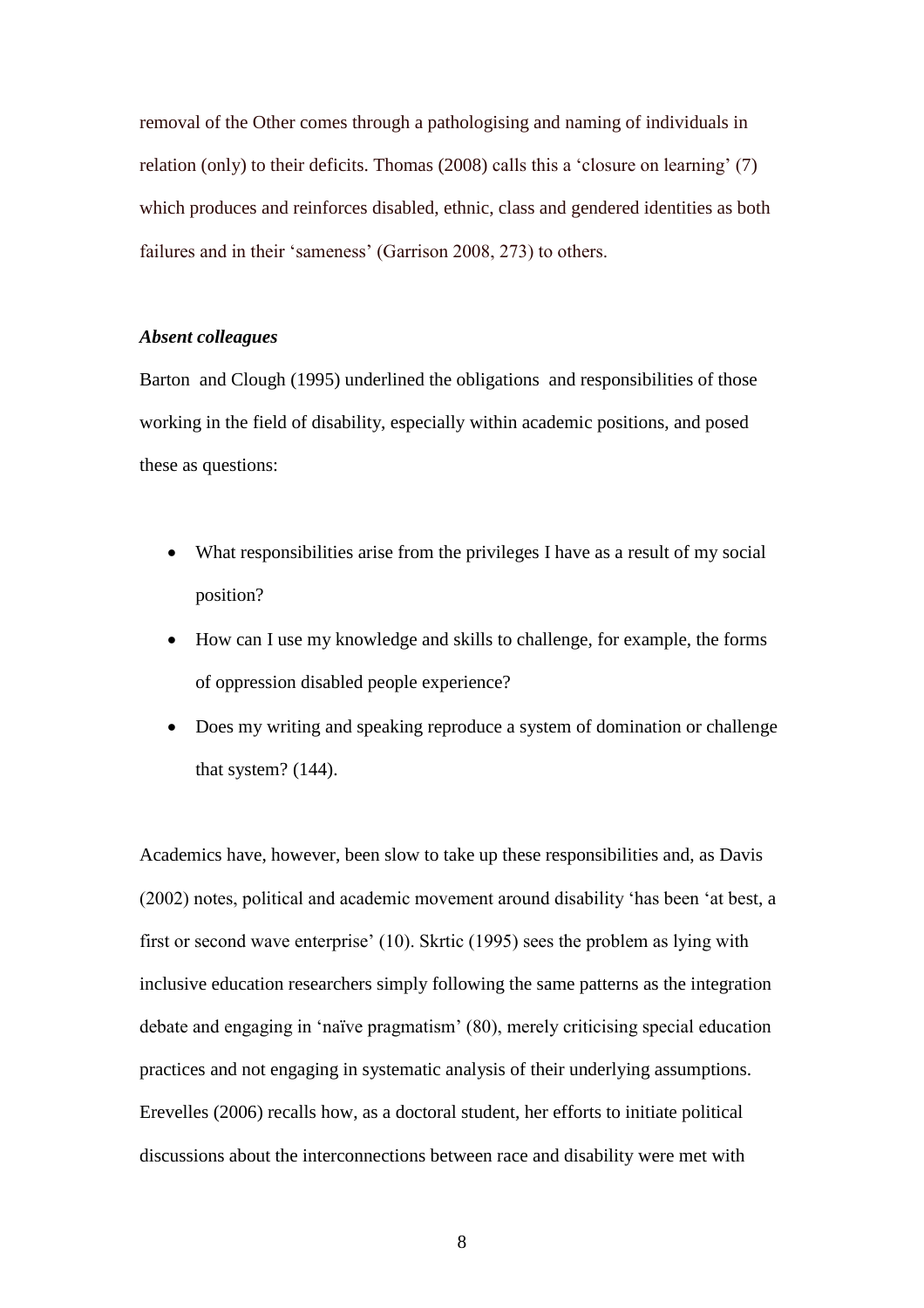removal of the Other comes through a pathologising and naming of individuals in relation (only) to their deficits. Thomas (2008) calls this a 'closure on learning' (7) which produces and reinforces disabled, ethnic, class and gendered identities as both failures and in their 'sameness' (Garrison 2008, 273) to others.

# *Absent colleagues*

Barton and Clough (1995) underlined the obligations and responsibilities of those working in the field of disability, especially within academic positions, and posed these as questions:

- What responsibilities arise from the privileges I have as a result of my social position?
- How can I use my knowledge and skills to challenge, for example, the forms of oppression disabled people experience?
- Does my writing and speaking reproduce a system of domination or challenge that system? (144).

Academics have, however, been slow to take up these responsibilities and, as Davis (2002) notes, political and academic movement around disability "has been "at best, a first or second wave enterprise' (10). Skrtic (1995) sees the problem as lying with inclusive education researchers simply following the same patterns as the integration debate and engaging in "naïve pragmatism" (80), merely criticising special education practices and not engaging in systematic analysis of their underlying assumptions. Erevelles (2006) recalls how, as a doctoral student, her efforts to initiate political discussions about the interconnections between race and disability were met with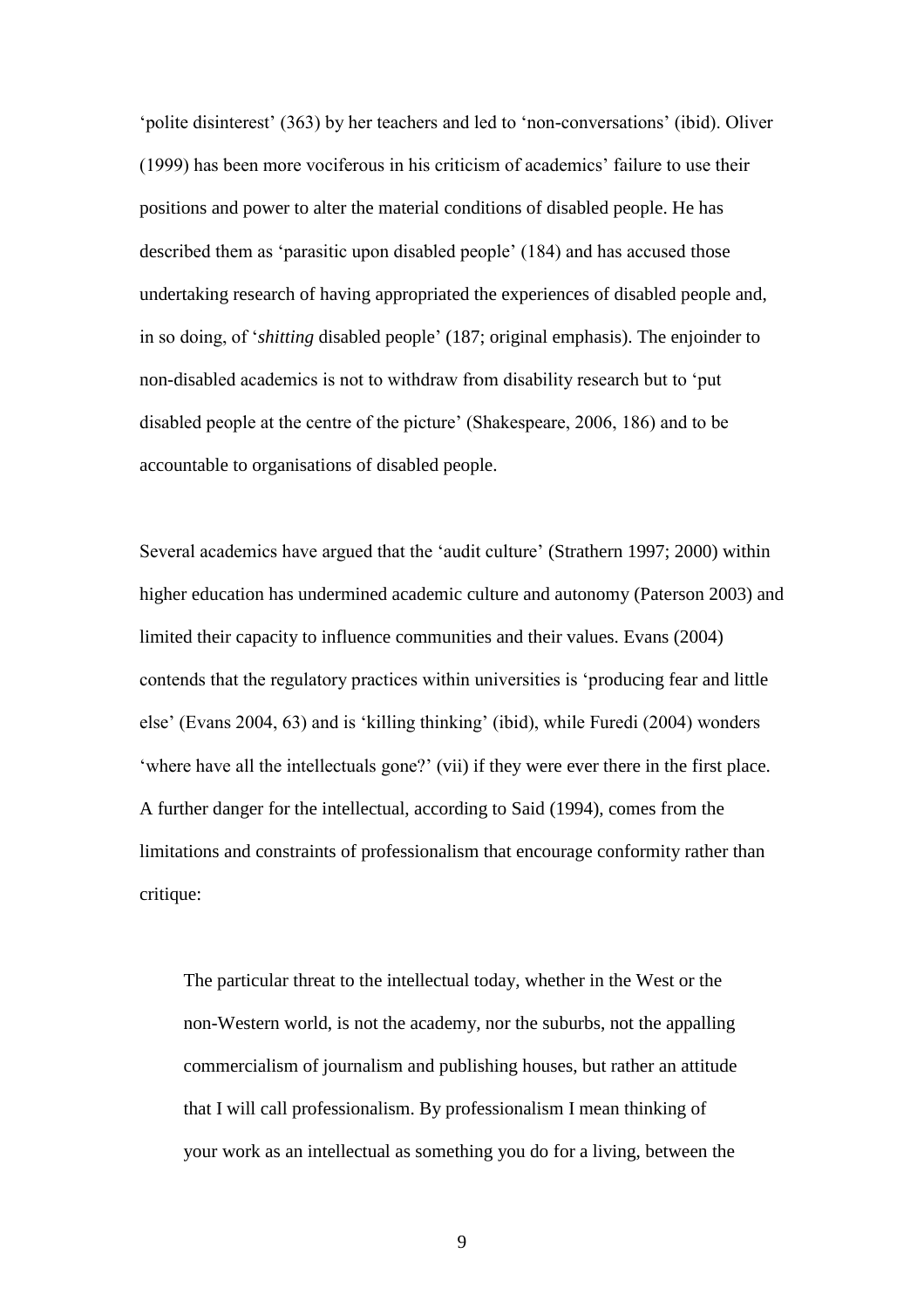'polite disinterest' (363) by her teachers and led to 'non-conversations' (ibid). Oliver (1999) has been more vociferous in his criticism of academics" failure to use their positions and power to alter the material conditions of disabled people. He has described them as "parasitic upon disabled people" (184) and has accused those undertaking research of having appropriated the experiences of disabled people and, in so doing, of "*shitting* disabled people" (187; original emphasis). The enjoinder to non-disabled academics is not to withdraw from disability research but to "put disabled people at the centre of the picture" (Shakespeare, 2006, 186) and to be accountable to organisations of disabled people.

Several academics have argued that the "audit culture" (Strathern 1997; 2000) within higher education has undermined academic culture and autonomy (Paterson 2003) and limited their capacity to influence communities and their values. Evans (2004) contends that the regulatory practices within universities is "producing fear and little else" (Evans 2004, 63) and is "killing thinking" (ibid), while Furedi (2004) wonders 'where have all the intellectuals gone?' (vii) if they were ever there in the first place. A further danger for the intellectual, according to Said (1994), comes from the limitations and constraints of professionalism that encourage conformity rather than critique:

The particular threat to the intellectual today, whether in the West or the non-Western world, is not the academy, nor the suburbs, not the appalling commercialism of journalism and publishing houses, but rather an attitude that I will call professionalism. By professionalism I mean thinking of your work as an intellectual as something you do for a living, between the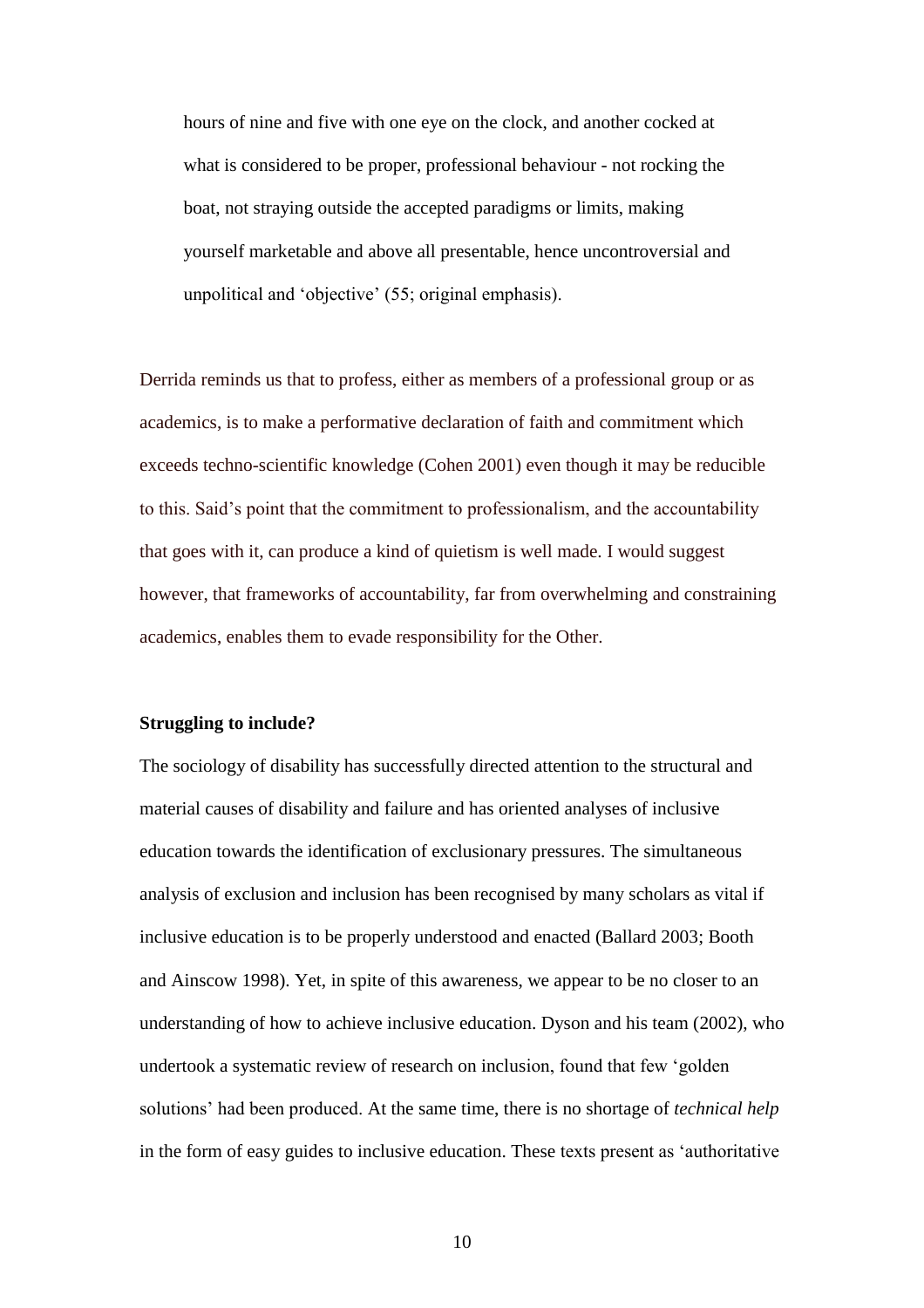hours of nine and five with one eye on the clock, and another cocked at what is considered to be proper, professional behaviour - not rocking the boat, not straying outside the accepted paradigms or limits, making yourself marketable and above all presentable, hence uncontroversial and unpolitical and 'objective' (55; original emphasis).

Derrida reminds us that to profess, either as members of a professional group or as academics, is to make a performative declaration of faith and commitment which exceeds techno-scientific knowledge (Cohen 2001) even though it may be reducible to this. Said"s point that the commitment to professionalism, and the accountability that goes with it, can produce a kind of quietism is well made. I would suggest however, that frameworks of accountability, far from overwhelming and constraining academics, enables them to evade responsibility for the Other.

### **Struggling to include?**

The sociology of disability has successfully directed attention to the structural and material causes of disability and failure and has oriented analyses of inclusive education towards the identification of exclusionary pressures. The simultaneous analysis of exclusion and inclusion has been recognised by many scholars as vital if inclusive education is to be properly understood and enacted (Ballard 2003; Booth and Ainscow 1998). Yet, in spite of this awareness, we appear to be no closer to an understanding of how to achieve inclusive education. Dyson and his team (2002), who undertook a systematic review of research on inclusion, found that few "golden solutions" had been produced. At the same time, there is no shortage of *technical help*  in the form of easy guides to inclusive education. These texts present as "authoritative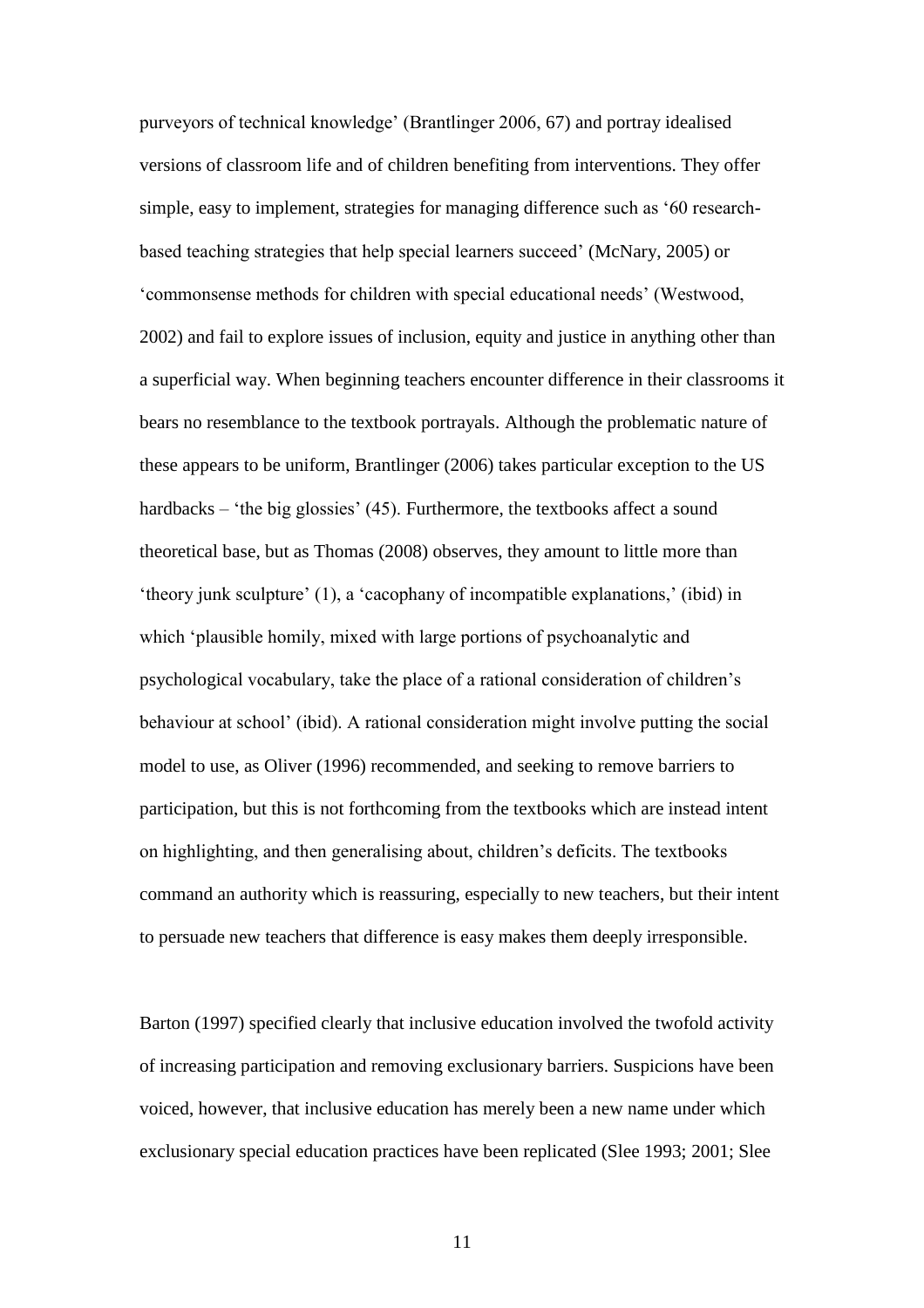purveyors of technical knowledge" (Brantlinger 2006, 67) and portray idealised versions of classroom life and of children benefiting from interventions. They offer simple, easy to implement, strategies for managing difference such as "60 researchbased teaching strategies that help special learners succeed" (McNary, 2005) or "commonsense methods for children with special educational needs" (Westwood, 2002) and fail to explore issues of inclusion, equity and justice in anything other than a superficial way. When beginning teachers encounter difference in their classrooms it bears no resemblance to the textbook portrayals. Although the problematic nature of these appears to be uniform, Brantlinger (2006) takes particular exception to the US hardbacks – 'the big glossies' (45). Furthermore, the textbooks affect a sound theoretical base, but as Thomas (2008) observes, they amount to little more than 'theory junk sculpture' (1), a 'cacophany of incompatible explanations,' (ibid) in which 'plausible homily, mixed with large portions of psychoanalytic and psychological vocabulary, take the place of a rational consideration of children"s behaviour at school" (ibid). A rational consideration might involve putting the social model to use, as Oliver (1996) recommended, and seeking to remove barriers to participation, but this is not forthcoming from the textbooks which are instead intent on highlighting, and then generalising about, children"s deficits. The textbooks command an authority which is reassuring, especially to new teachers, but their intent to persuade new teachers that difference is easy makes them deeply irresponsible.

Barton (1997) specified clearly that inclusive education involved the twofold activity of increasing participation and removing exclusionary barriers. Suspicions have been voiced, however, that inclusive education has merely been a new name under which exclusionary special education practices have been replicated (Slee 1993; 2001; Slee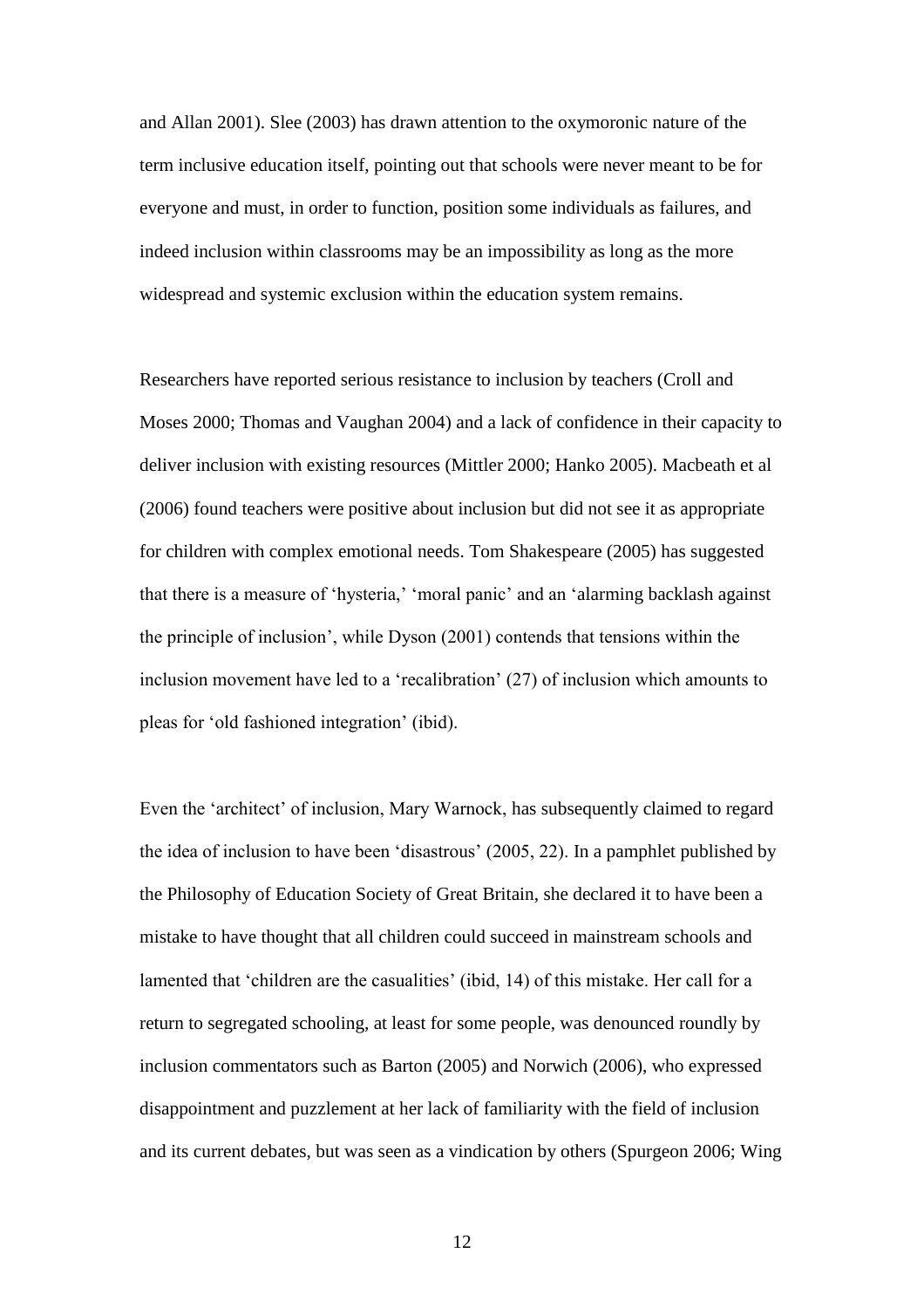and Allan 2001). Slee (2003) has drawn attention to the oxymoronic nature of the term inclusive education itself, pointing out that schools were never meant to be for everyone and must, in order to function, position some individuals as failures, and indeed inclusion within classrooms may be an impossibility as long as the more widespread and systemic exclusion within the education system remains.

Researchers have reported serious resistance to inclusion by teachers (Croll and Moses 2000; Thomas and Vaughan 2004) and a lack of confidence in their capacity to deliver inclusion with existing resources (Mittler 2000; Hanko 2005). Macbeath et al (2006) found teachers were positive about inclusion but did not see it as appropriate for children with complex emotional needs. Tom Shakespeare (2005) has suggested that there is a measure of 'hysteria,' 'moral panic' and an 'alarming backlash against the principle of inclusion", while Dyson (2001) contends that tensions within the inclusion movement have led to a "recalibration" (27) of inclusion which amounts to pleas for "old fashioned integration" (ibid).

Even the "architect" of inclusion, Mary Warnock, has subsequently claimed to regard the idea of inclusion to have been "disastrous" (2005, 22). In a pamphlet published by the Philosophy of Education Society of Great Britain, she declared it to have been a mistake to have thought that all children could succeed in mainstream schools and lamented that 'children are the casualities' (ibid, 14) of this mistake. Her call for a return to segregated schooling, at least for some people, was denounced roundly by inclusion commentators such as Barton (2005) and Norwich (2006), who expressed disappointment and puzzlement at her lack of familiarity with the field of inclusion and its current debates, but was seen as a vindication by others (Spurgeon 2006; Wing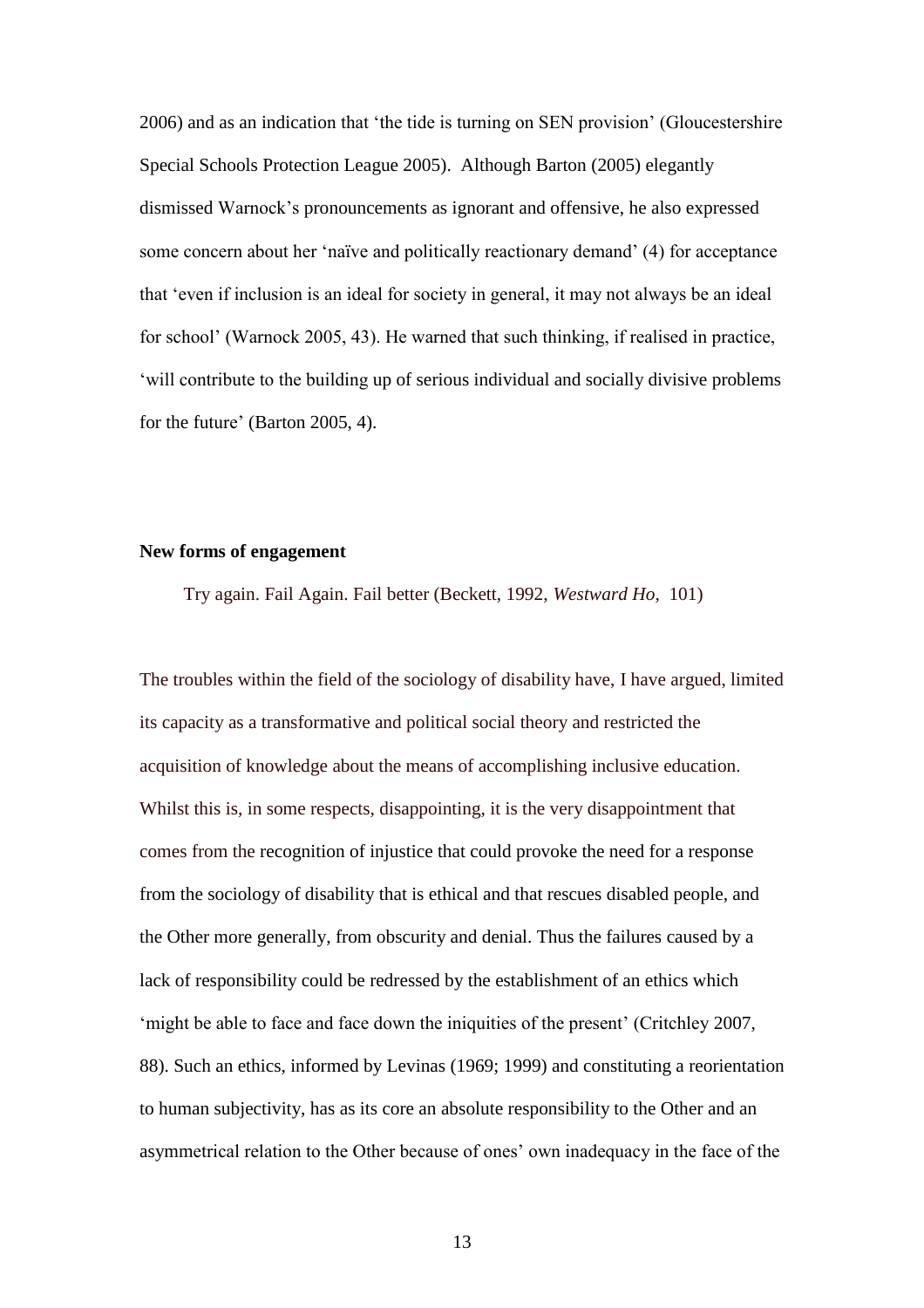2006) and as an indication that "the tide is turning on SEN provision" (Gloucestershire Special Schools Protection League 2005). Although Barton (2005) elegantly dismissed Warnock"s pronouncements as ignorant and offensive, he also expressed some concern about her "naïve and politically reactionary demand" (4) for acceptance that "even if inclusion is an ideal for society in general, it may not always be an ideal for school" (Warnock 2005, 43). He warned that such thinking, if realised in practice, "will contribute to the building up of serious individual and socially divisive problems for the future' (Barton 2005, 4).

### **New forms of engagement**

Try again. Fail Again. Fail better (Beckett, 1992, *Westward Ho,* 101)

The troubles within the field of the sociology of disability have, I have argued, limited its capacity as a transformative and political social theory and restricted the acquisition of knowledge about the means of accomplishing inclusive education. Whilst this is, in some respects, disappointing, it is the very disappointment that comes from the recognition of injustice that could provoke the need for a response from the sociology of disability that is ethical and that rescues disabled people, and the Other more generally, from obscurity and denial. Thus the failures caused by a lack of responsibility could be redressed by the establishment of an ethics which 'might be able to face and face down the iniquities of the present' (Critchley 2007, 88). Such an ethics, informed by Levinas (1969; 1999) and constituting a reorientation to human subjectivity, has as its core an absolute responsibility to the Other and an asymmetrical relation to the Other because of ones" own inadequacy in the face of the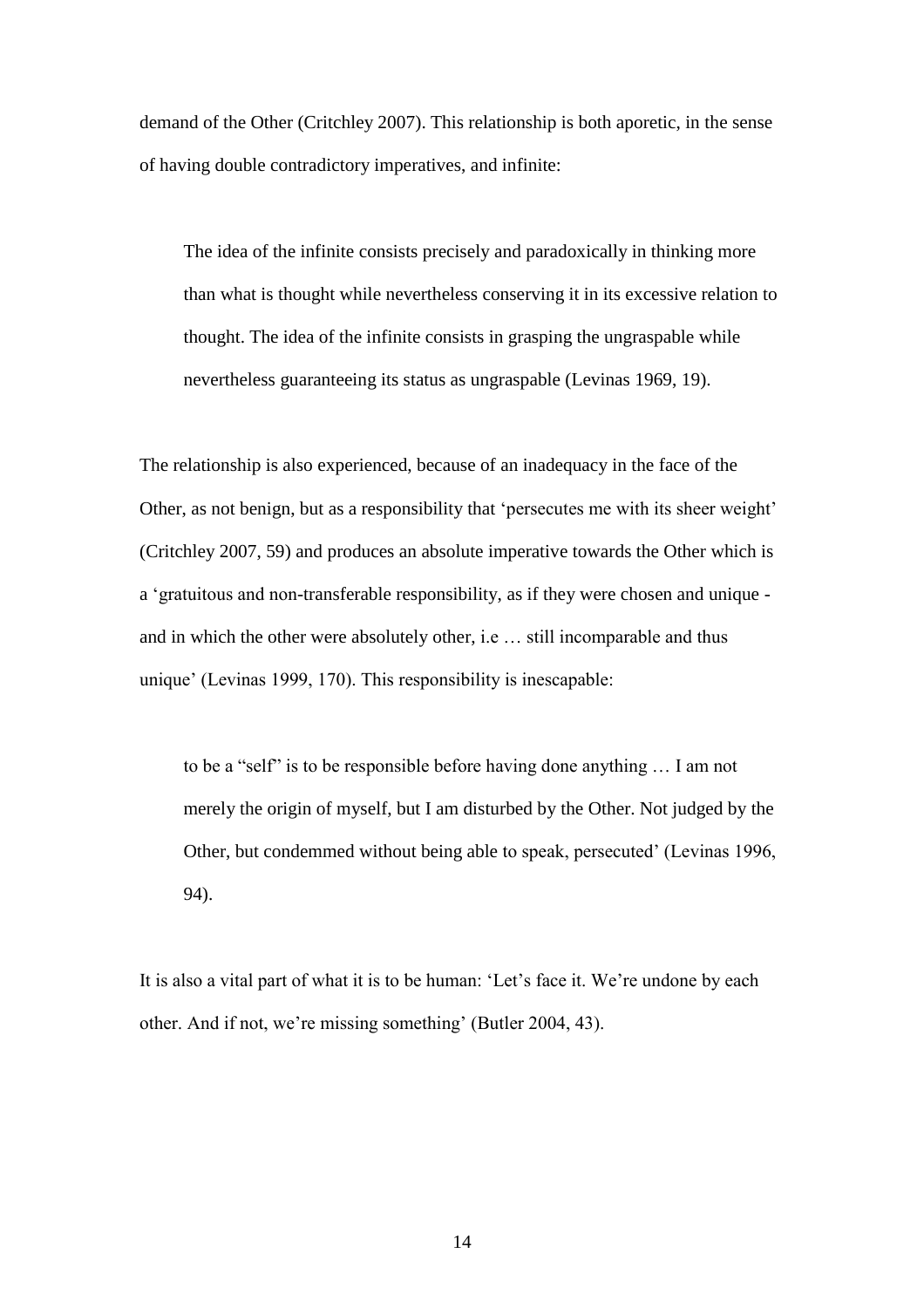demand of the Other (Critchley 2007). This relationship is both aporetic, in the sense of having double contradictory imperatives, and infinite:

The idea of the infinite consists precisely and paradoxically in thinking more than what is thought while nevertheless conserving it in its excessive relation to thought. The idea of the infinite consists in grasping the ungraspable while nevertheless guaranteeing its status as ungraspable (Levinas 1969, 19).

The relationship is also experienced, because of an inadequacy in the face of the Other, as not benign, but as a responsibility that "persecutes me with its sheer weight" (Critchley 2007, 59) and produces an absolute imperative towards the Other which is a "gratuitous and non-transferable responsibility, as if they were chosen and unique and in which the other were absolutely other, i.e … still incomparable and thus unique' (Levinas 1999, 170). This responsibility is inescapable:

to be a "self" is to be responsible before having done anything … I am not merely the origin of myself, but I am disturbed by the Other. Not judged by the Other, but condemmed without being able to speak, persecuted' (Levinas 1996, 94).

It is also a vital part of what it is to be human: 'Let's face it. We're undone by each other. And if not, we're missing something' (Butler 2004, 43).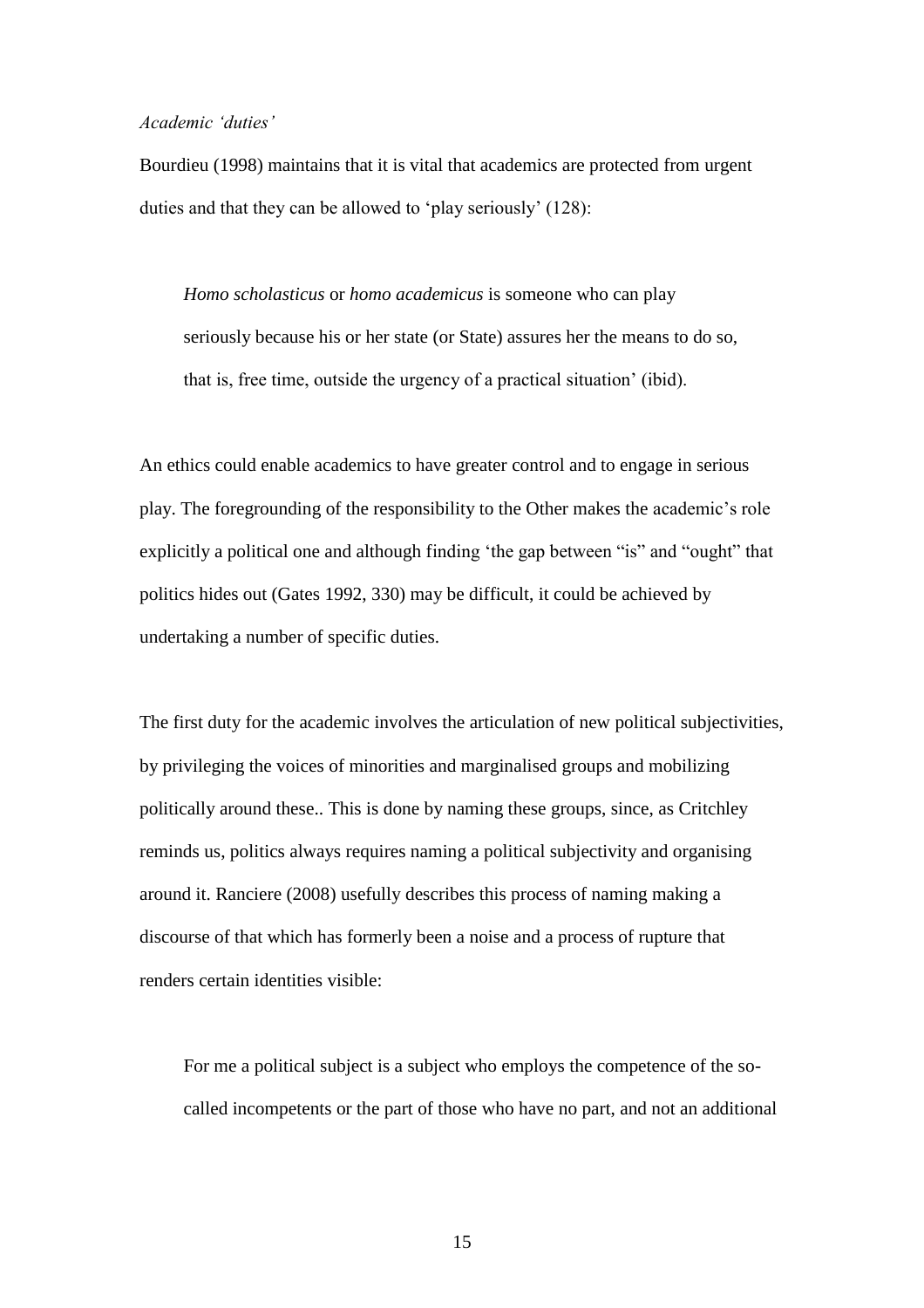### *Academic 'duties'*

Bourdieu (1998) maintains that it is vital that academics are protected from urgent duties and that they can be allowed to "play seriously" (128):

*Homo scholasticus* or *homo academicus* is someone who can play seriously because his or her state (or State) assures her the means to do so, that is, free time, outside the urgency of a practical situation" (ibid).

An ethics could enable academics to have greater control and to engage in serious play. The foregrounding of the responsibility to the Other makes the academic"s role explicitly a political one and although finding "the gap between "is" and "ought" that politics hides out (Gates 1992, 330) may be difficult, it could be achieved by undertaking a number of specific duties.

The first duty for the academic involves the articulation of new political subjectivities, by privileging the voices of minorities and marginalised groups and mobilizing politically around these.. This is done by naming these groups, since, as Critchley reminds us, politics always requires naming a political subjectivity and organising around it. Ranciere (2008) usefully describes this process of naming making a discourse of that which has formerly been a noise and a process of rupture that renders certain identities visible:

For me a political subject is a subject who employs the competence of the socalled incompetents or the part of those who have no part, and not an additional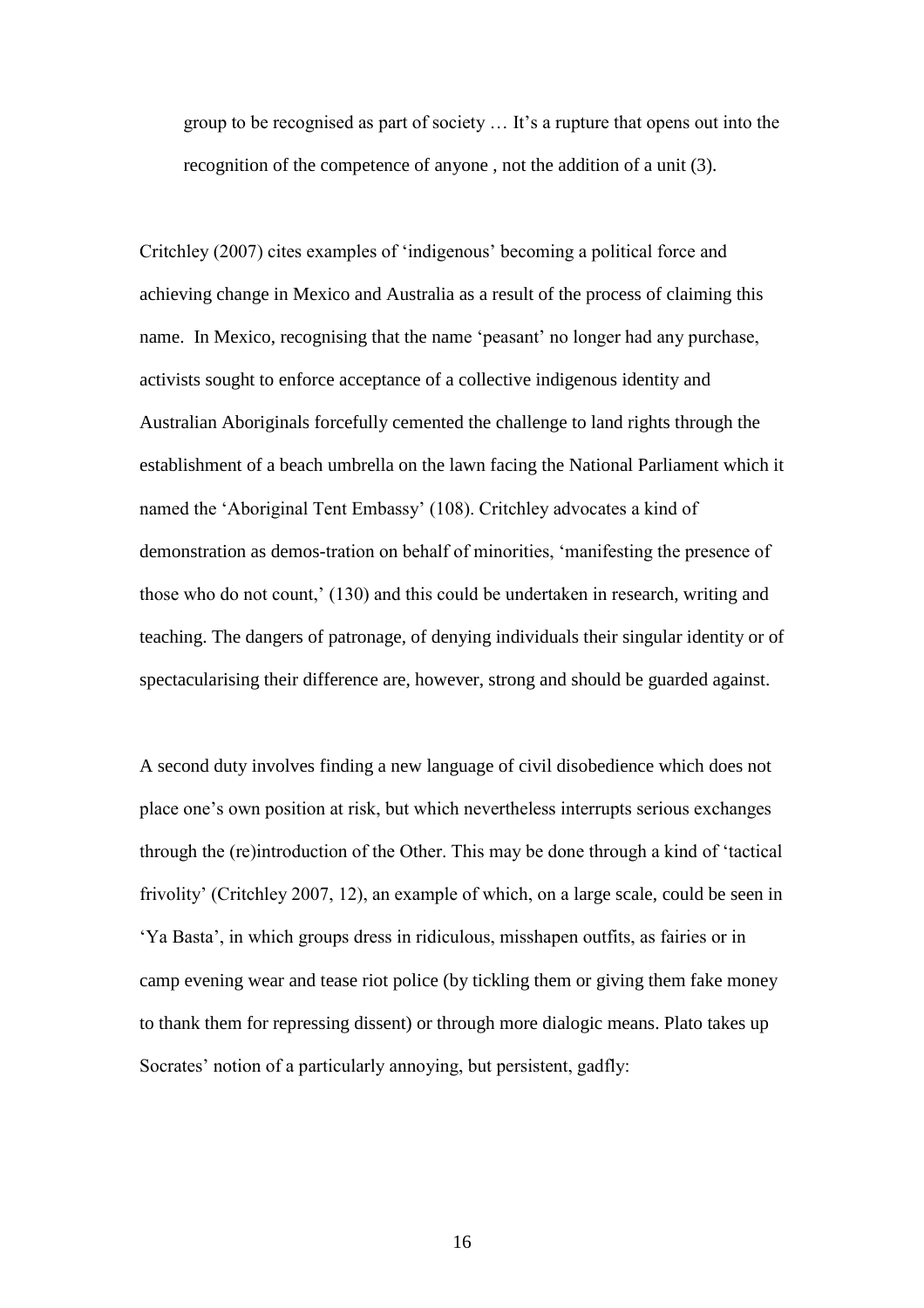group to be recognised as part of society … It"s a rupture that opens out into the recognition of the competence of anyone , not the addition of a unit (3).

Critchley (2007) cites examples of "indigenous" becoming a political force and achieving change in Mexico and Australia as a result of the process of claiming this name. In Mexico, recognising that the name 'peasant' no longer had any purchase, activists sought to enforce acceptance of a collective indigenous identity and Australian Aboriginals forcefully cemented the challenge to land rights through the establishment of a beach umbrella on the lawn facing the National Parliament which it named the "Aboriginal Tent Embassy" (108). Critchley advocates a kind of demonstration as demos-tration on behalf of minorities, "manifesting the presence of those who do not count,' (130) and this could be undertaken in research, writing and teaching. The dangers of patronage, of denying individuals their singular identity or of spectacularising their difference are, however, strong and should be guarded against.

A second duty involves finding a new language of civil disobedience which does not place one"s own position at risk, but which nevertheless interrupts serious exchanges through the (re)introduction of the Other. This may be done through a kind of "tactical frivolity" (Critchley 2007, 12), an example of which, on a large scale, could be seen in "Ya Basta", in which groups dress in ridiculous, misshapen outfits, as fairies or in camp evening wear and tease riot police (by tickling them or giving them fake money to thank them for repressing dissent) or through more dialogic means. Plato takes up Socrates' notion of a particularly annoying, but persistent, gadfly: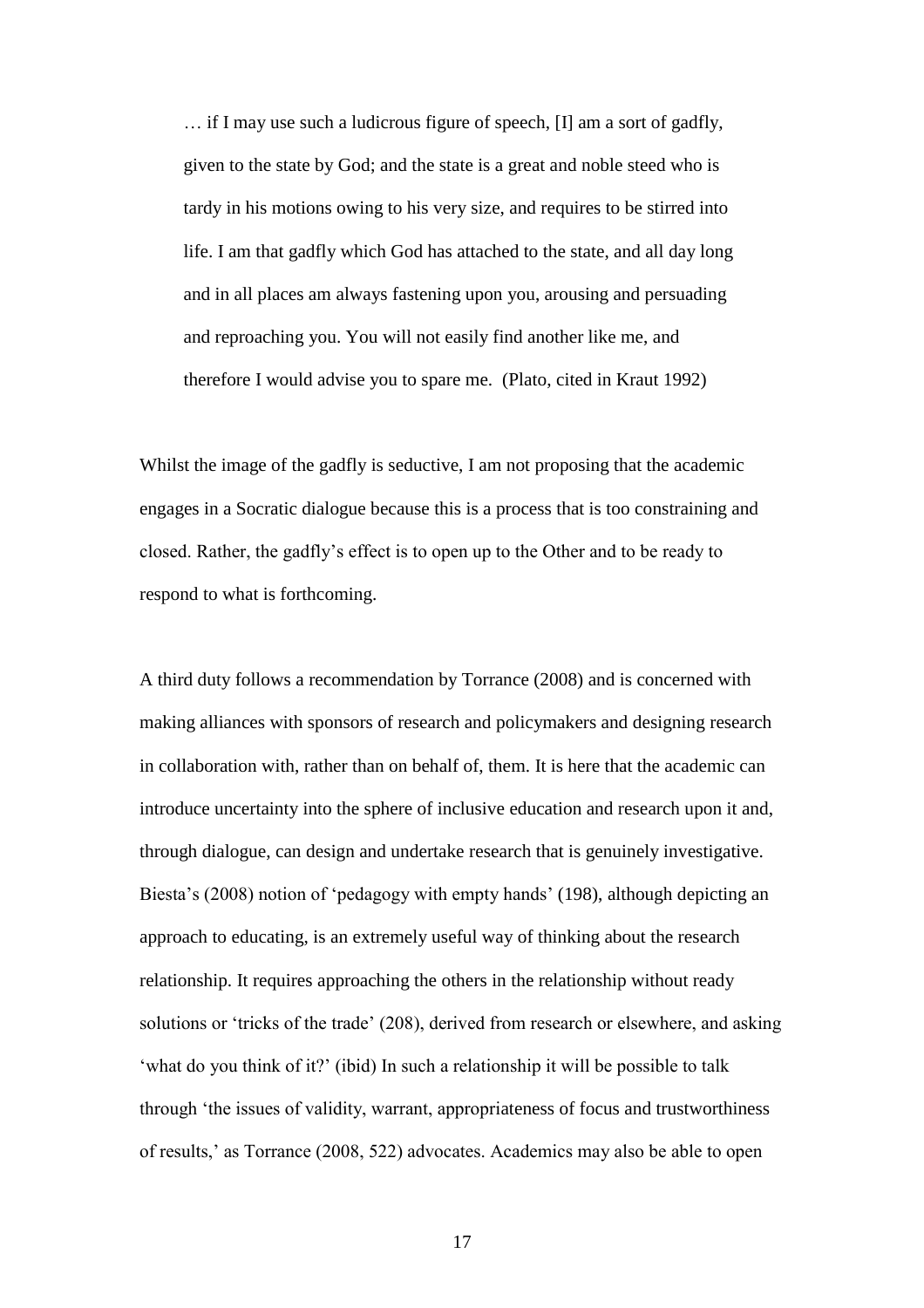… if I may use such a ludicrous figure of speech, [I] am a sort of gadfly, given to the state by God; and the state is a great and noble steed who is tardy in his motions owing to his very size, and requires to be stirred into life. I am that gadfly which God has attached to the state, and all day long and in all places am always fastening upon you, arousing and persuading and reproaching you. You will not easily find another like me, and therefore I would advise you to spare me. (Plato, cited in Kraut 1992)

Whilst the image of the gadfly is seductive, I am not proposing that the academic engages in a Socratic dialogue because this is a process that is too constraining and closed. Rather, the gadfly"s effect is to open up to the Other and to be ready to respond to what is forthcoming.

A third duty follows a recommendation by Torrance (2008) and is concerned with making alliances with sponsors of research and policymakers and designing research in collaboration with, rather than on behalf of, them. It is here that the academic can introduce uncertainty into the sphere of inclusive education and research upon it and, through dialogue, can design and undertake research that is genuinely investigative. Biesta's (2008) notion of 'pedagogy with empty hands' (198), although depicting an approach to educating, is an extremely useful way of thinking about the research relationship. It requires approaching the others in the relationship without ready solutions or "tricks of the trade" (208), derived from research or elsewhere, and asking 'what do you think of it?' (ibid) In such a relationship it will be possible to talk through "the issues of validity, warrant, appropriateness of focus and trustworthiness of results," as Torrance (2008, 522) advocates. Academics may also be able to open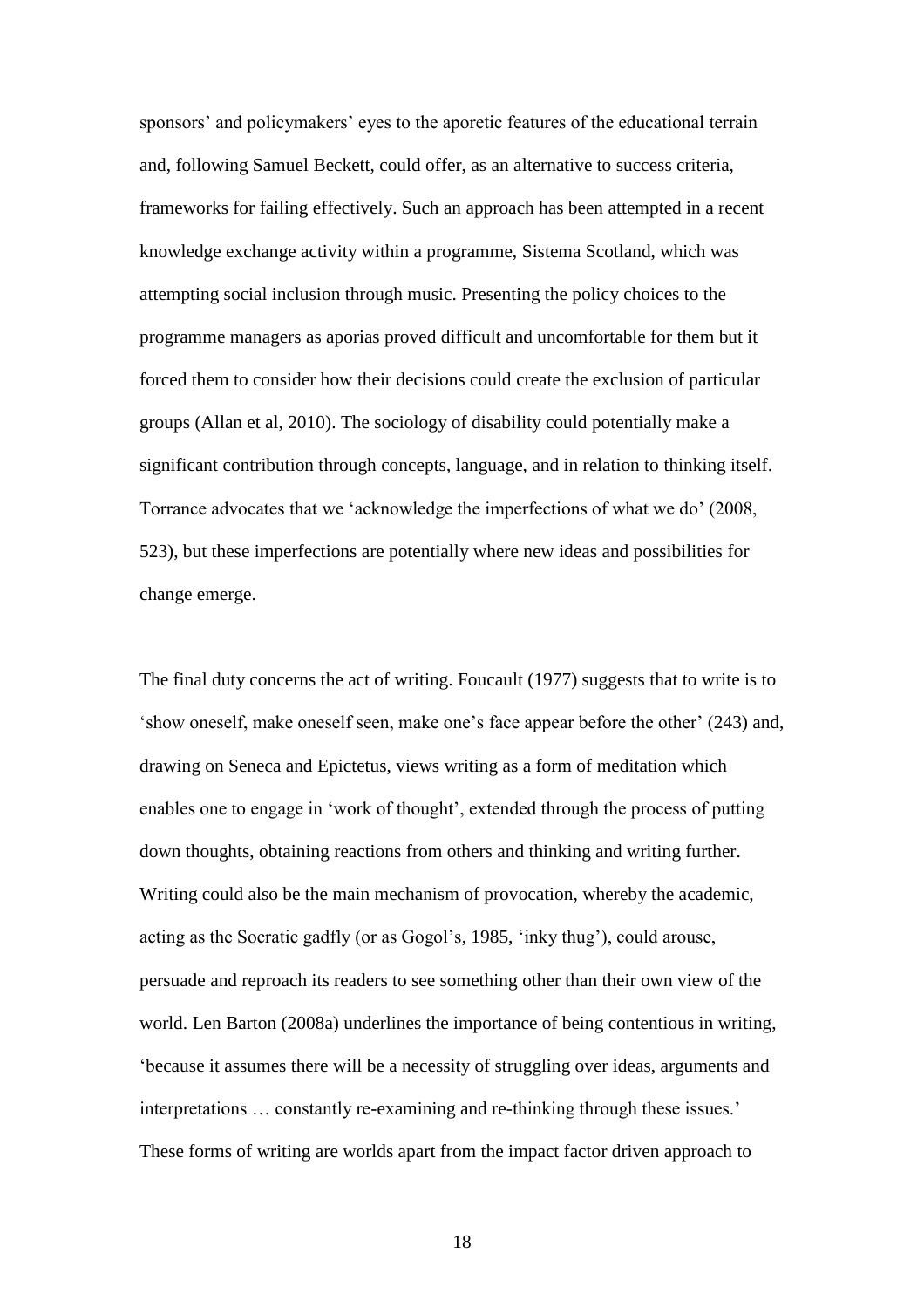sponsors' and policymakers' eyes to the aporetic features of the educational terrain and, following Samuel Beckett, could offer, as an alternative to success criteria, frameworks for failing effectively. Such an approach has been attempted in a recent knowledge exchange activity within a programme, Sistema Scotland, which was attempting social inclusion through music. Presenting the policy choices to the programme managers as aporias proved difficult and uncomfortable for them but it forced them to consider how their decisions could create the exclusion of particular groups (Allan et al, 2010). The sociology of disability could potentially make a significant contribution through concepts, language, and in relation to thinking itself. Torrance advocates that we "acknowledge the imperfections of what we do" (2008, 523), but these imperfections are potentially where new ideas and possibilities for change emerge.

The final duty concerns the act of writing. Foucault (1977) suggests that to write is to "show oneself, make oneself seen, make one"s face appear before the other" (243) and, drawing on Seneca and Epictetus, views writing as a form of meditation which enables one to engage in 'work of thought', extended through the process of putting down thoughts, obtaining reactions from others and thinking and writing further. Writing could also be the main mechanism of provocation, whereby the academic, acting as the Socratic gadfly (or as Gogol's, 1985, 'inky thug'), could arouse, persuade and reproach its readers to see something other than their own view of the world. Len Barton (2008a) underlines the importance of being contentious in writing, "because it assumes there will be a necessity of struggling over ideas, arguments and interpretations … constantly re-examining and re-thinking through these issues." These forms of writing are worlds apart from the impact factor driven approach to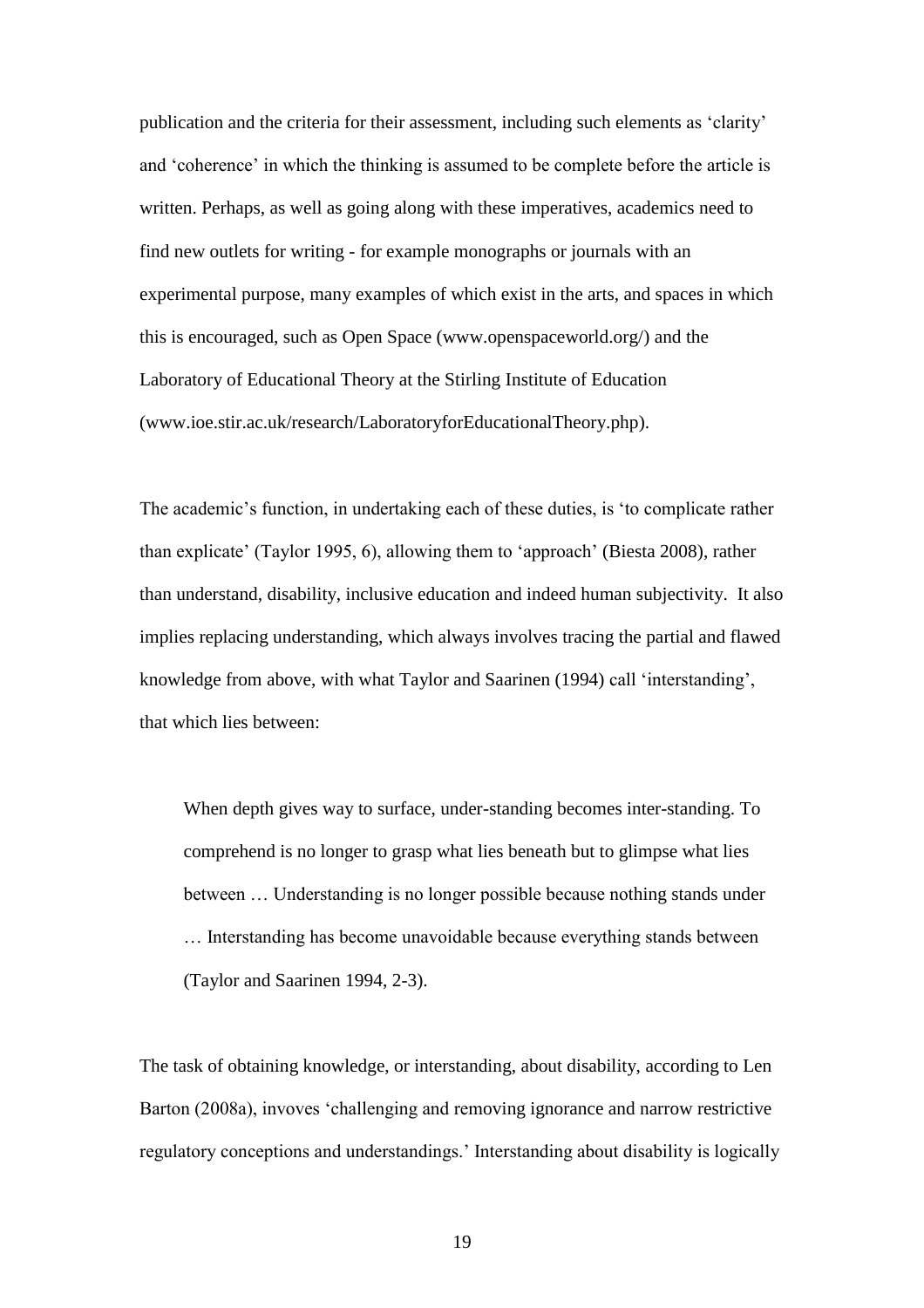publication and the criteria for their assessment, including such elements as "clarity" and 'coherence' in which the thinking is assumed to be complete before the article is written. Perhaps, as well as going along with these imperatives, academics need to find new outlets for writing - for example monographs or journals with an experimental purpose, many examples of which exist in the arts, and spaces in which this is encouraged, such as Open Space (www.openspaceworld.org/) and the Laboratory of Educational Theory at the Stirling Institute of Education (www.ioe.stir.ac.uk/research/LaboratoryforEducationalTheory.php).

The academic"s function, in undertaking each of these duties, is "to complicate rather than explicate" (Taylor 1995, 6), allowing them to "approach" (Biesta 2008), rather than understand, disability, inclusive education and indeed human subjectivity. It also implies replacing understanding, which always involves tracing the partial and flawed knowledge from above, with what Taylor and Saarinen (1994) call "interstanding", that which lies between:

When depth gives way to surface, under-standing becomes inter-standing. To comprehend is no longer to grasp what lies beneath but to glimpse what lies between … Understanding is no longer possible because nothing stands under … Interstanding has become unavoidable because everything stands between (Taylor and Saarinen 1994, 2-3).

The task of obtaining knowledge, or interstanding, about disability, according to Len Barton (2008a), invoves "challenging and removing ignorance and narrow restrictive regulatory conceptions and understandings." Interstanding about disability is logically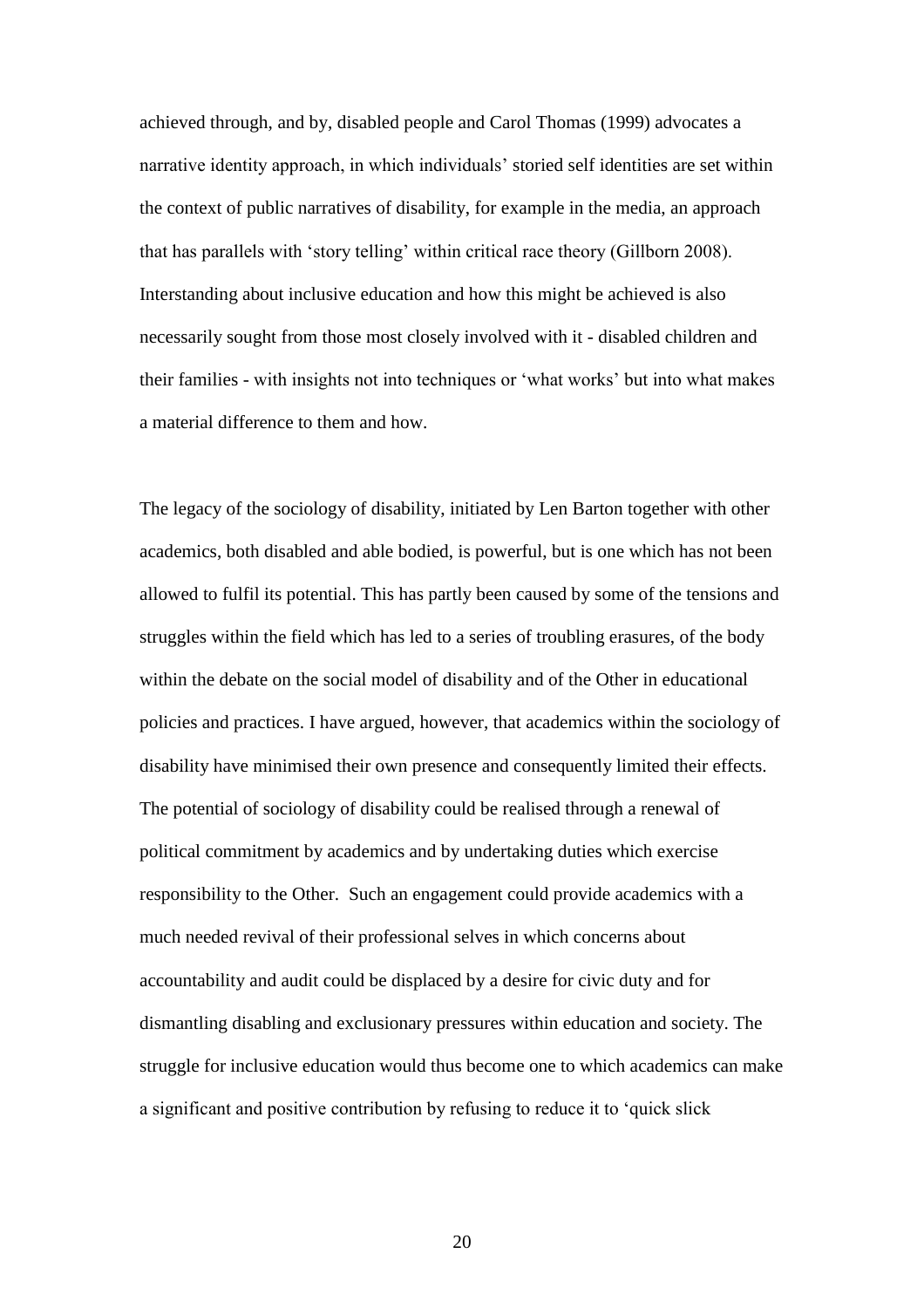achieved through, and by, disabled people and Carol Thomas (1999) advocates a narrative identity approach, in which individuals" storied self identities are set within the context of public narratives of disability, for example in the media, an approach that has parallels with "story telling" within critical race theory (Gillborn 2008). Interstanding about inclusive education and how this might be achieved is also necessarily sought from those most closely involved with it - disabled children and their families - with insights not into techniques or "what works" but into what makes a material difference to them and how.

The legacy of the sociology of disability, initiated by Len Barton together with other academics, both disabled and able bodied, is powerful, but is one which has not been allowed to fulfil its potential. This has partly been caused by some of the tensions and struggles within the field which has led to a series of troubling erasures, of the body within the debate on the social model of disability and of the Other in educational policies and practices. I have argued, however, that academics within the sociology of disability have minimised their own presence and consequently limited their effects. The potential of sociology of disability could be realised through a renewal of political commitment by academics and by undertaking duties which exercise responsibility to the Other. Such an engagement could provide academics with a much needed revival of their professional selves in which concerns about accountability and audit could be displaced by a desire for civic duty and for dismantling disabling and exclusionary pressures within education and society. The struggle for inclusive education would thus become one to which academics can make a significant and positive contribution by refusing to reduce it to "quick slick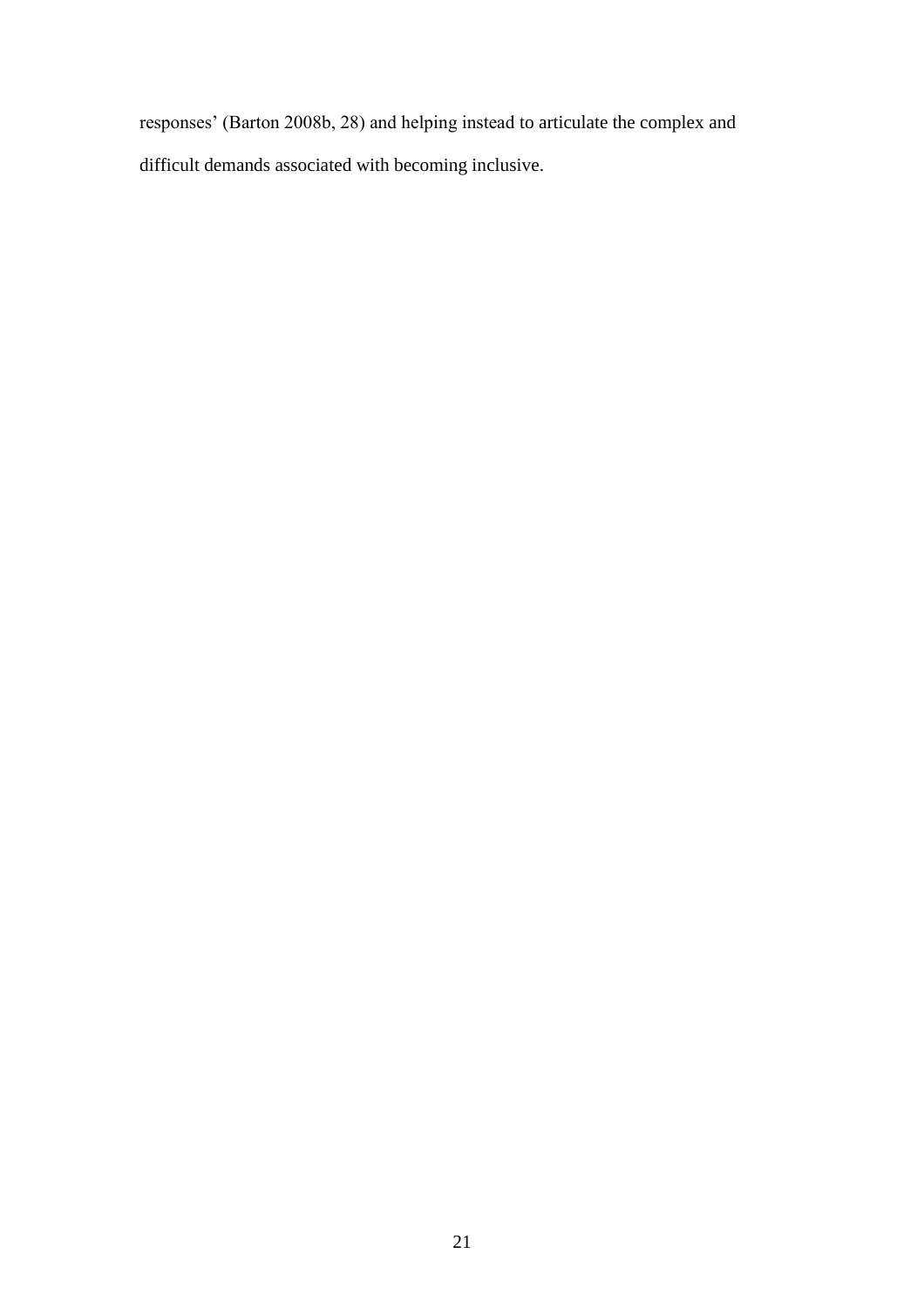responses" (Barton 2008b, 28) and helping instead to articulate the complex and difficult demands associated with becoming inclusive.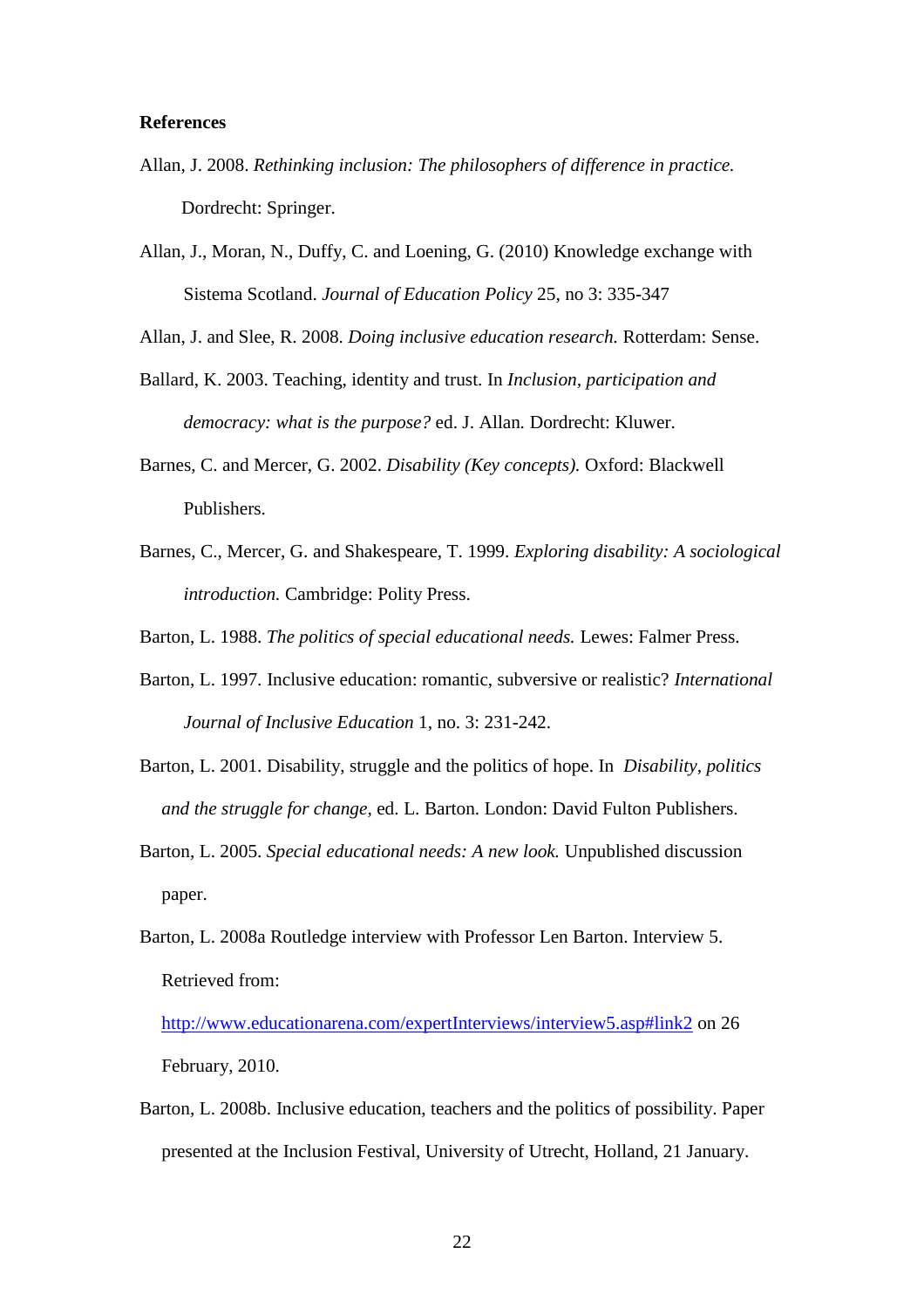### **References**

- Allan, J. 2008. *Rethinking inclusion: The philosophers of difference in practice.*  Dordrecht: Springer.
- Allan, J., Moran, N., Duffy, C. and Loening, G. (2010) Knowledge exchange with Sistema Scotland. *Journal of Education Policy* 25, no 3: 335-347

Allan, J. and Slee, R. 2008. *Doing inclusive education research.* Rotterdam: Sense.

- Ballard, K. 2003. Teaching, identity and trust. In *Inclusion, participation and democracy: what is the purpose?* ed. J. Allan*.* Dordrecht: Kluwer.
- Barnes, C. and Mercer, G. 2002. *Disability (Key concepts).* Oxford: Blackwell Publishers.
- Barnes, C., Mercer, G. and Shakespeare, T. 1999. *Exploring disability: A sociological introduction.* Cambridge: Polity Press.

Barton, L. 1988. *The politics of special educational needs.* Lewes: Falmer Press.

- Barton, L. 1997. Inclusive education: romantic, subversive or realistic? *International Journal of Inclusive Education* 1, no. 3: 231-242.
- Barton, L. 2001. Disability, struggle and the politics of hope. In *Disability, politics and the struggle for change,* ed. L. Barton. London: David Fulton Publishers.
- Barton, L. 2005. *Special educational needs: A new look.* Unpublished discussion paper.
- Barton, L. 2008a Routledge interview with Professor Len Barton. Interview 5. Retrieved from:

<http://www.educationarena.com/expertInterviews/interview5.asp#link2> on 26 February, 2010.

Barton, L. 2008b. Inclusive education, teachers and the politics of possibility. Paper presented at the Inclusion Festival, University of Utrecht, Holland, 21 January.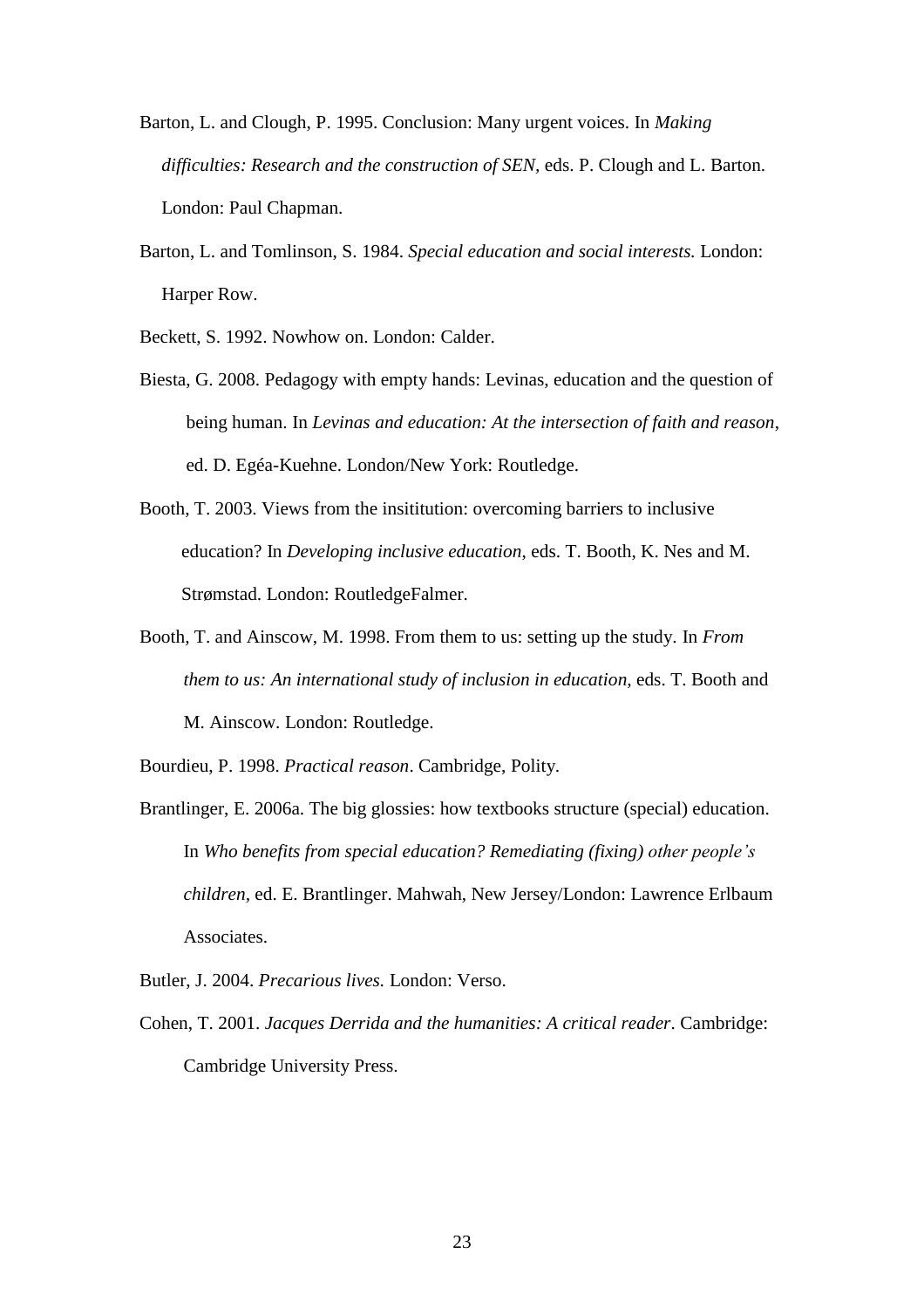- Barton, L. and Clough, P. 1995. Conclusion: Many urgent voices. In *Making difficulties: Research and the construction of SEN,* eds. P. Clough and L. Barton. London: Paul Chapman.
- Barton, L. and Tomlinson, S. 1984. *Special education and social interests.* London: Harper Row.

Beckett, S. 1992. Nowhow on. London: Calder.

- Biesta, G. 2008. Pedagogy with empty hands: Levinas, education and the question of being human. In *Levinas and education: At the intersection of faith and reason*, ed. D. Egéa-Kuehne. London/New York: Routledge.
- Booth, T. 2003. Views from the insititution: overcoming barriers to inclusive education? In *Developing inclusive education*, eds. T. Booth, K. Nes and M. Strømstad. London: RoutledgeFalmer.
- Booth, T. and Ainscow, M. 1998. From them to us: setting up the study. In *From them to us: An international study of inclusion in education, eds. T. Booth and* M. Ainscow. London: Routledge.
- Bourdieu, P. 1998. *Practical reason*. Cambridge, Polity.
- Brantlinger, E. 2006a. The big glossies: how textbooks structure (special) education. In *Who benefits from special education? Remediating (fixing) other people's children,* ed. E. Brantlinger. Mahwah, New Jersey/London: Lawrence Erlbaum Associates.
- Butler, J. 2004. *Precarious lives.* London: Verso.
- Cohen, T. 2001. *Jacques Derrida and the humanities: A critical reader*. Cambridge: Cambridge University Press.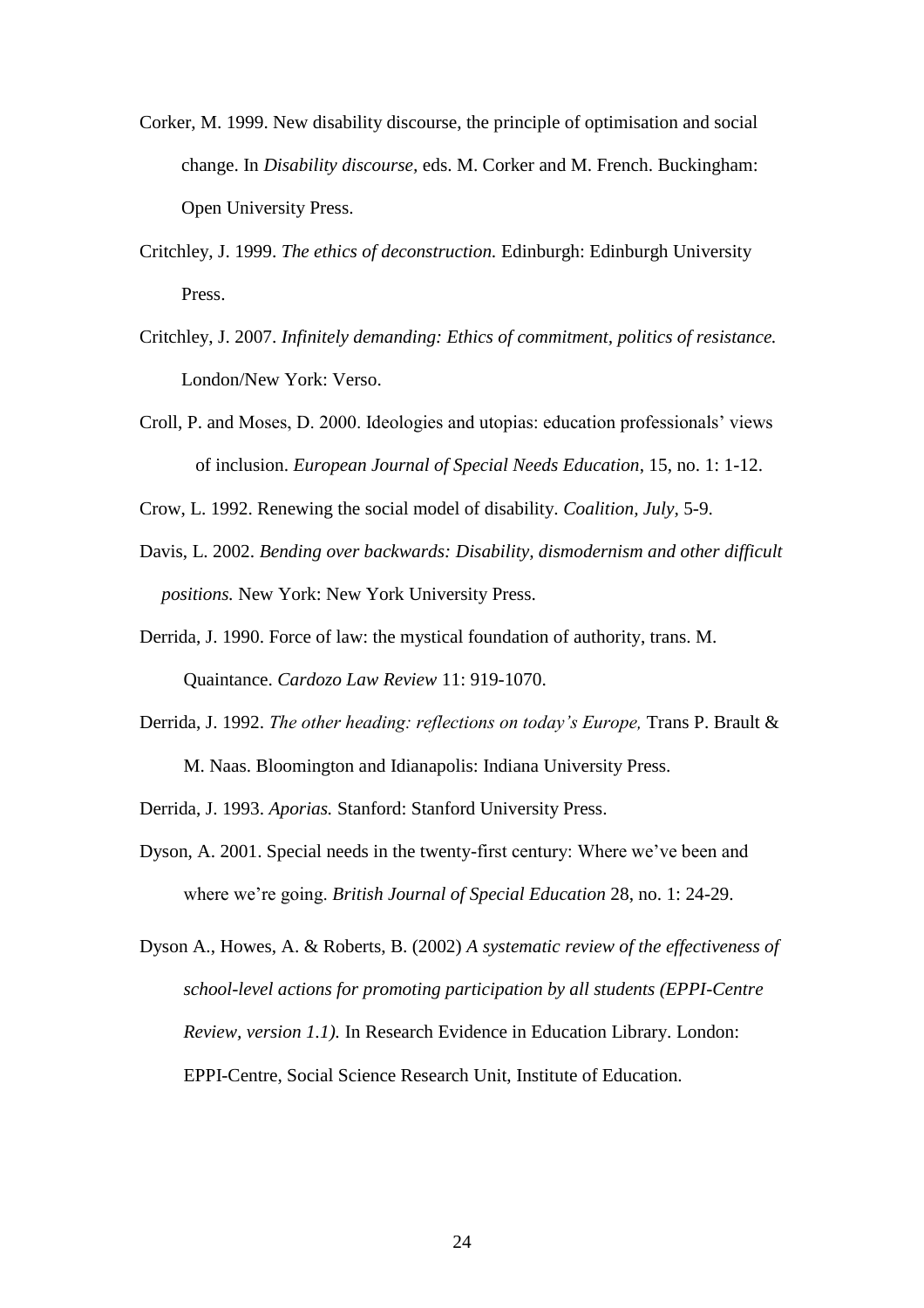- Corker, M. 1999. New disability discourse, the principle of optimisation and social change. In *Disability discourse,* eds. M. Corker and M. French. Buckingham: Open University Press.
- Critchley, J. 1999. *The ethics of deconstruction.* Edinburgh: Edinburgh University Press.
- Critchley, J. 2007. *Infinitely demanding: Ethics of commitment, politics of resistance.*  London/New York: Verso.
- Croll, P. and Moses, D. 2000. Ideologies and utopias: education professionals" views of inclusion. *European Journal of Special Needs Education*, 15, no. 1: 1-12.
- Crow, L. 1992. Renewing the social model of disability. *Coalition, July,* 5-9.
- Davis, L. 2002. *Bending over backwards: Disability, dismodernism and other difficult positions.* New York: New York University Press.
- Derrida, J. 1990. Force of law: the mystical foundation of authority, trans. M. Quaintance. *Cardozo Law Review* 11: 919-1070.
- Derrida, J. 1992. *The other heading: reflections on today's Europe,* Trans P. Brault & M. Naas. Bloomington and Idianapolis: Indiana University Press.

Derrida, J. 1993. *Aporias.* Stanford: Stanford University Press.

- Dyson, A. 2001. Special needs in the twenty-first century: Where we"ve been and where we"re going. *British Journal of Special Education* 28, no. 1: 24-29.
- Dyson A., Howes, A. & Roberts, B. (2002) *A systematic review of the effectiveness of school-level actions for promoting participation by all students (EPPI-Centre Review, version 1.1).* In Research Evidence in Education Library. London: EPPI-Centre, Social Science Research Unit, Institute of Education.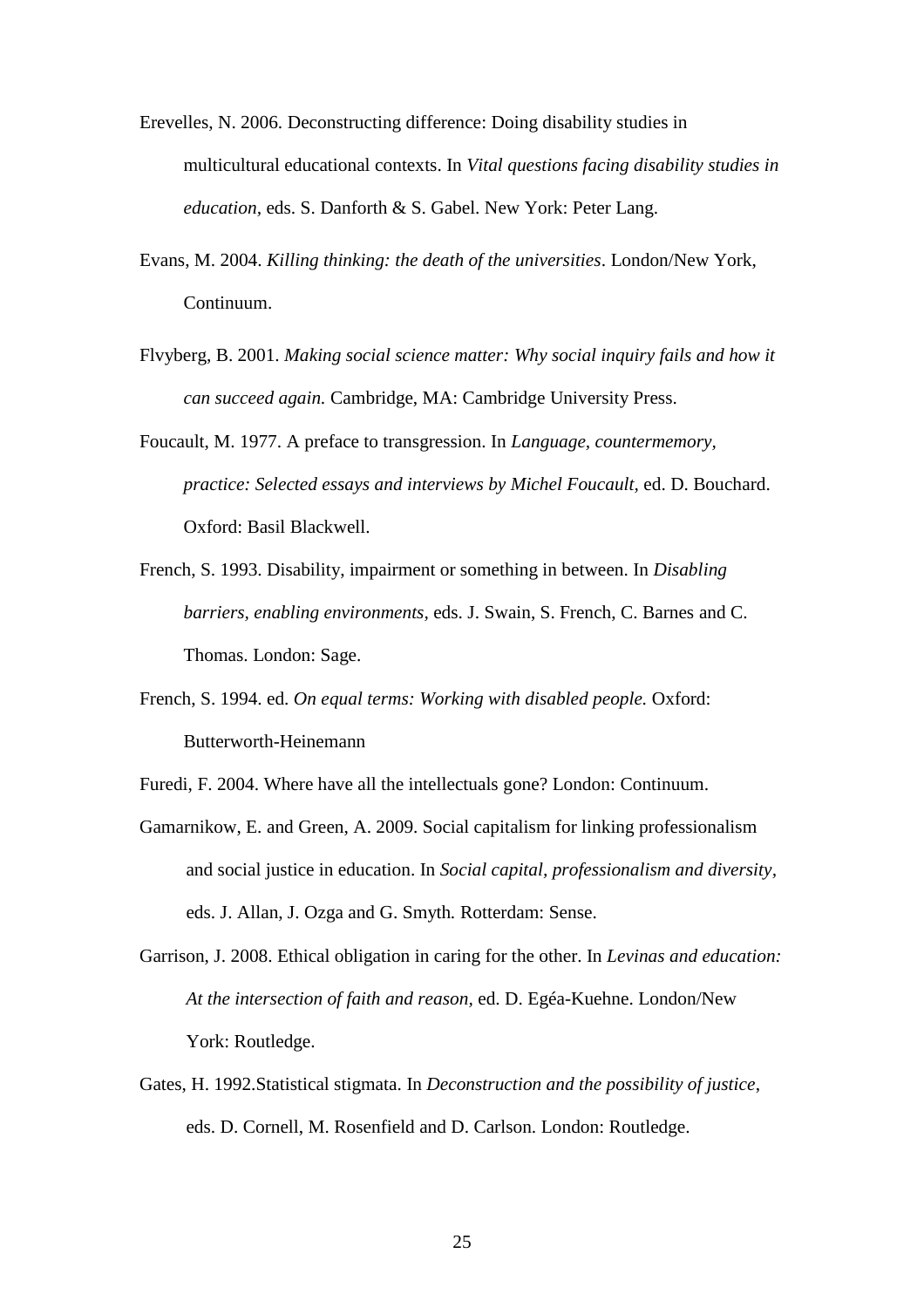- Erevelles, N. 2006. Deconstructing difference: Doing disability studies in multicultural educational contexts. In *Vital questions facing disability studies in education,* eds. S. Danforth & S. Gabel. New York: Peter Lang.
- Evans, M. 2004. *Killing thinking: the death of the universities*. London/New York, Continuum.
- Flvyberg, B. 2001. *Making social science matter: Why social inquiry fails and how it can succeed again.* Cambridge, MA: Cambridge University Press.
- Foucault, M. 1977. A preface to transgression. In *Language, countermemory, practice: Selected essays and interviews by Michel Foucault,* ed. D. Bouchard. Oxford: Basil Blackwell.
- French, S. 1993. Disability, impairment or something in between. In *Disabling barriers, enabling environments,* eds. J. Swain, S. French, C. Barnes and C. Thomas. London: Sage.
- French, S. 1994. ed. *On equal terms: Working with disabled people.* Oxford: Butterworth-Heinemann
- Furedi, F. 2004. Where have all the intellectuals gone? London: Continuum.
- Gamarnikow, E. and Green, A. 2009. Social capitalism for linking professionalism and social justice in education. In *Social capital, professionalism and diversity,*  eds. J. Allan, J. Ozga and G. Smyth*.* Rotterdam: Sense.
- Garrison, J. 2008. Ethical obligation in caring for the other. In *Levinas and education: At the intersection of faith and reason,* ed. D. Egéa-Kuehne. London/New York: Routledge.
- Gates, H. 1992.Statistical stigmata. In *Deconstruction and the possibility of justice*, eds. D. Cornell, M. Rosenfield and D. Carlson. London: Routledge.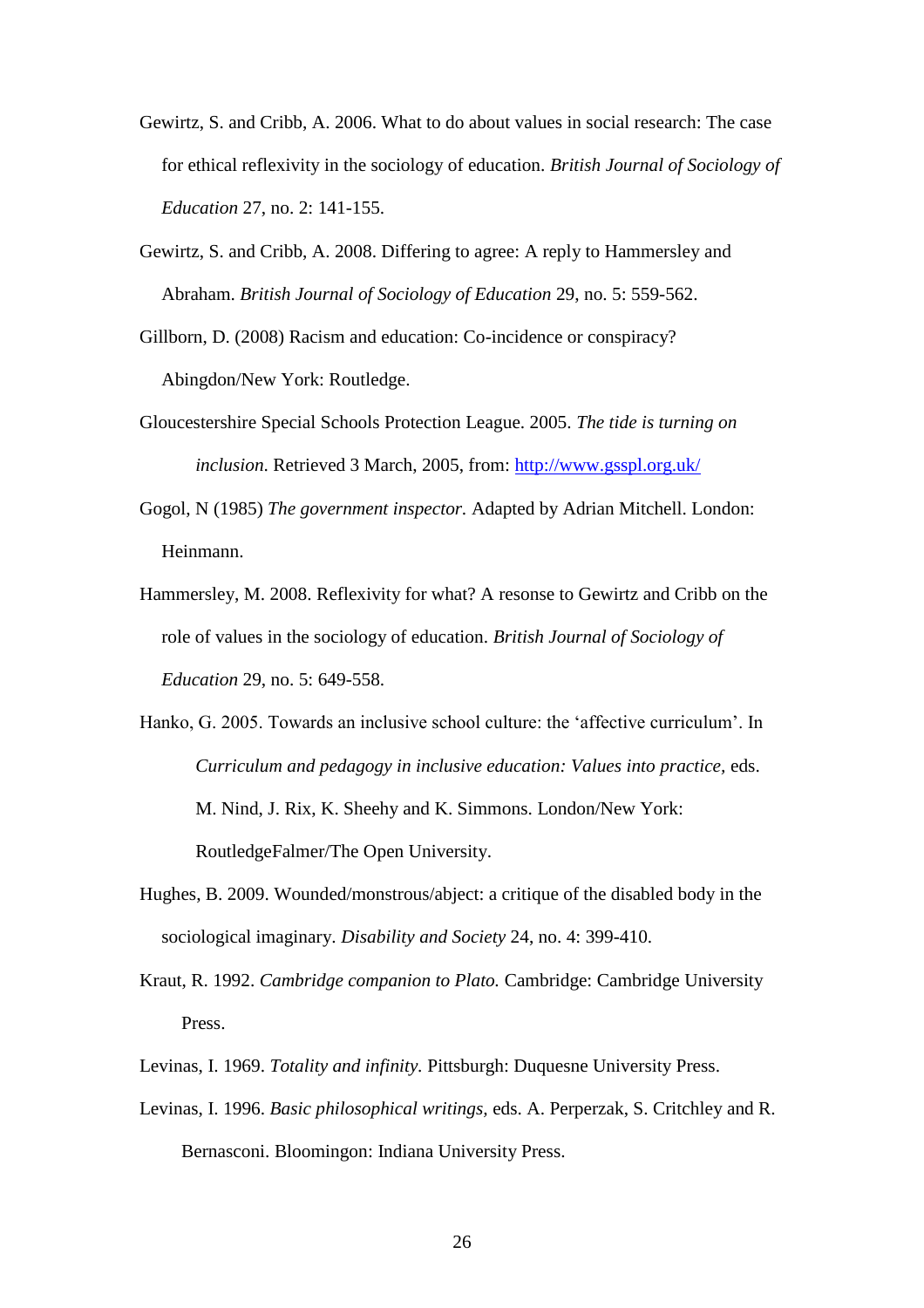- Gewirtz, S. and Cribb, A. 2006. What to do about values in social research: The case for ethical reflexivity in the sociology of education. *British Journal of Sociology of Education* 27, no. 2: 141-155.
- Gewirtz, S. and Cribb, A. 2008. Differing to agree: A reply to Hammersley and Abraham. *British Journal of Sociology of Education* 29, no. 5: 559-562.
- Gillborn, D. (2008) Racism and education: Co-incidence or conspiracy? Abingdon/New York: Routledge.
- Gloucestershire Special Schools Protection League. 2005. *The tide is turning on inclusion*. Retrieved 3 March, 2005, from:<http://www.gsspl.org.uk/>
- Gogol, N (1985) *The government inspector.* Adapted by Adrian Mitchell. London: Heinmann.
- Hammersley, M. 2008. Reflexivity for what? A resonse to Gewirtz and Cribb on the role of values in the sociology of education. *British Journal of Sociology of Education* 29, no. 5: 649-558.
- Hanko, G. 2005. Towards an inclusive school culture: the "affective curriculum". In *Curriculum and pedagogy in inclusive education: Values into practice,* eds. M. Nind, J. Rix, K. Sheehy and K. Simmons. London/New York: RoutledgeFalmer/The Open University.
- Hughes, B. 2009. Wounded/monstrous/abject: a critique of the disabled body in the sociological imaginary. *Disability and Society* 24, no. 4: 399-410.
- Kraut, R. 1992. *Cambridge companion to Plato.* Cambridge: Cambridge University Press.
- Levinas, I. 1969. *Totality and infinity.* Pittsburgh: Duquesne University Press.
- Levinas, I. 1996. *Basic philosophical writings,* eds. A. Perperzak, S. Critchley and R. Bernasconi. Bloomingon: Indiana University Press.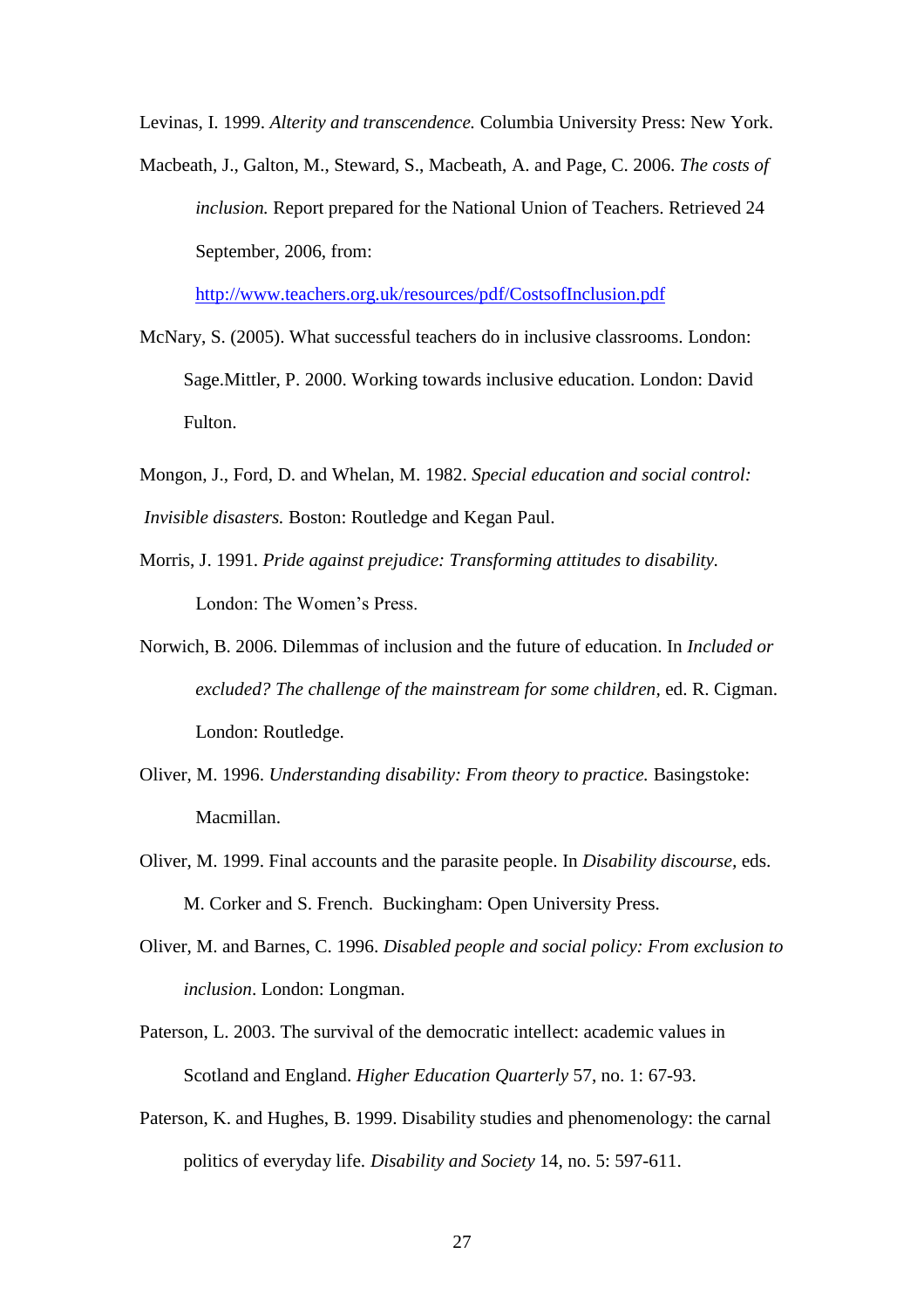Levinas, I. 1999. *Alterity and transcendence.* Columbia University Press: New York.

Macbeath, J., Galton, M., Steward, S., Macbeath, A. and Page, C. 2006. *The costs of inclusion.* Report prepared for the National Union of Teachers. Retrieved 24 September, 2006, from:

<http://www.teachers.org.uk/resources/pdf/CostsofInclusion.pdf>

- McNary, S. (2005). What successful teachers do in inclusive classrooms. London: Sage.Mittler, P. 2000. Working towards inclusive education. London: David Fulton.
- Mongon, J., Ford, D. and Whelan, M. 1982. *Special education and social control: Invisible disasters.* Boston: Routledge and Kegan Paul.
- Morris, J. 1991. *Pride against prejudice: Transforming attitudes to disability.*  London: The Women's Press.
- Norwich, B. 2006. Dilemmas of inclusion and the future of education. In *Included or excluded? The challenge of the mainstream for some children,* ed. R. Cigman. London: Routledge.
- Oliver, M. 1996. *Understanding disability: From theory to practice.* Basingstoke: Macmillan.
- Oliver, M. 1999. Final accounts and the parasite people. In *Disability discourse,* eds. M. Corker and S. French.Buckingham: Open University Press.
- Oliver, M. and Barnes, C. 1996. *Disabled people and social policy: From exclusion to inclusion*. London: Longman.
- Paterson, L. 2003. The survival of the democratic intellect: academic values in Scotland and England. *Higher Education Quarterly* 57, no. 1: 67-93.
- Paterson, K. and Hughes, B. 1999. Disability studies and phenomenology: the carnal politics of everyday life. *Disability and Society* 14, no. 5: 597-611.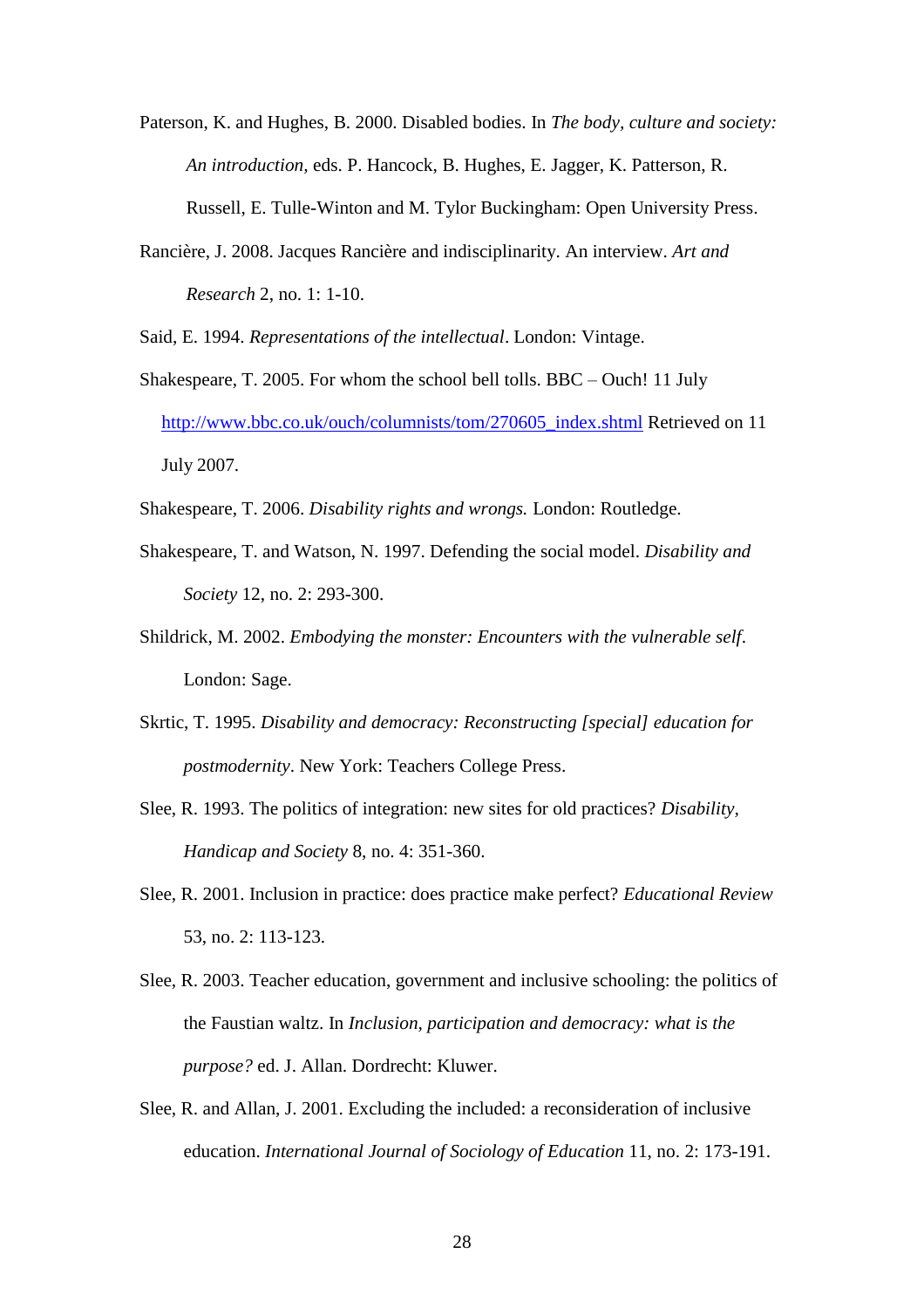- Paterson, K. and Hughes, B. 2000. Disabled bodies. In *The body, culture and society: An introduction,* eds. P. Hancock, B. Hughes, E. Jagger, K. Patterson, R. Russell, E. Tulle-Winton and M. Tylor Buckingham: Open University Press.
- Rancière, J. 2008. Jacques Rancière and indisciplinarity. An interview. *Art and Research* 2, no. 1: 1-10.

Said, E. 1994. *Representations of the intellectual*. London: Vintage.

- Shakespeare, T. 2005. For whom the school bell tolls. BBC Ouch! 11 July [http://www.bbc.co.uk/ouch/columnists/tom/270605\\_index.shtml](http://www.bbc.co.uk/ouch/columnists/tom/270605_index.shtml) Retrieved on 11 July 2007.
- Shakespeare, T. 2006. *Disability rights and wrongs.* London: Routledge.
- Shakespeare, T. and Watson, N. 1997. Defending the social model. *Disability and Society* 12, no. 2: 293-300.
- Shildrick, M. 2002. *Embodying the monster: Encounters with the vulnerable self*. London: Sage.
- Skrtic, T. 1995. *Disability and democracy: Reconstructing [special] education for postmodernity*. New York: Teachers College Press.
- Slee, R. 1993. The politics of integration: new sites for old practices? *Disability, Handicap and Society* 8, no. 4: 351-360.
- Slee, R. 2001. Inclusion in practice: does practice make perfect? *Educational Review*  53, no. 2: 113-123.
- Slee, R. 2003. Teacher education, government and inclusive schooling: the politics of the Faustian waltz. In *Inclusion, participation and democracy: what is the purpose?* ed. J. Allan. Dordrecht: Kluwer.
- Slee, R. and Allan, J. 2001. Excluding the included: a reconsideration of inclusive education. *International Journal of Sociology of Education* 11, no. 2: 173-191.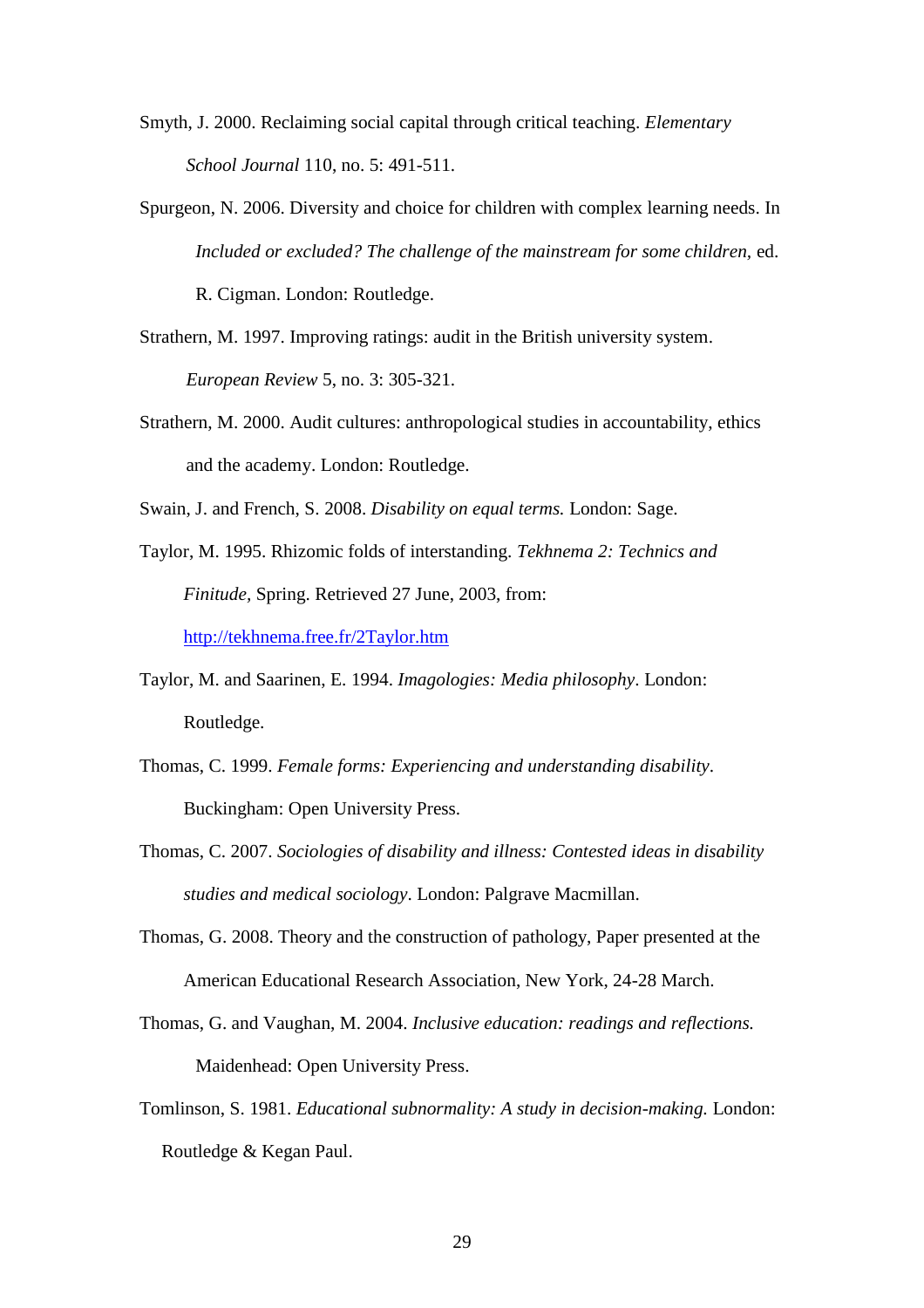- Smyth, J. 2000. Reclaiming social capital through critical teaching. *Elementary School Journal* 110, no. 5: 491-511.
- Spurgeon, N. 2006. Diversity and choice for children with complex learning needs. In *Included or excluded? The challenge of the mainstream for some children,* ed. R. Cigman. London: Routledge.
- Strathern, M. 1997. Improving ratings: audit in the British university system. *European Review* 5, no. 3: 305-321.
- Strathern, M. 2000. Audit cultures: anthropological studies in accountability, ethics and the academy. London: Routledge.

Swain, J. and French, S. 2008. *Disability on equal terms.* London: Sage.

Taylor, M. 1995. Rhizomic folds of interstanding. *Tekhnema 2: Technics and Finitude,* Spring. Retrieved 27 June, 2003, from:

<http://tekhnema.free.fr/2Taylor.htm>

- Taylor, M. and Saarinen, E. 1994. *Imagologies: Media philosophy*. London: Routledge.
- Thomas, C. 1999. *Female forms: Experiencing and understanding disability*. Buckingham: Open University Press.
- Thomas, C. 2007. *Sociologies of disability and illness: Contested ideas in disability studies and medical sociology*. London: Palgrave Macmillan.
- Thomas, G. 2008. Theory and the construction of pathology, Paper presented at the American Educational Research Association, New York, 24-28 March.
- Thomas, G. and Vaughan, M. 2004. *Inclusive education: readings and reflections.*  Maidenhead: Open University Press.
- Tomlinson, S. 1981. *Educational subnormality: A study in decision-making.* London: Routledge & Kegan Paul.